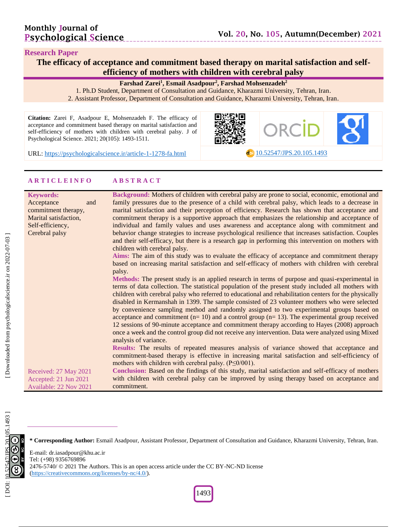dol <10.52547/JPS.20.105.1493>

#### **Research Paper**

**The efficacy of acceptance and commitment based therapy on marital satisfaction and self efficiency of mothers with children with cerebral palsy**

**Farshad Zarei 1 , Esmail Asadpour 2 , Farshad Mohsenzadeh 2**

1. Ph.D Student, Department of Consultation and Guidance, Kharazmi University, Tehran, Iran . 2. Assistant Professor, Department of Consultation and Guidance, Kharazmi University, Tehran, Iran .

**Citation:** Zarei F, Asadpour E, Mohsenzadeh F. The efficacy of acceptance and commitment based therapy on marital satisfaction and self-efficiency of mothers with children with cerebral palsy. J of Psychological Science. 2021; 20(10 5): 1493 - 1511 .



URL: [https://psychologicalscience.ir/article](https://psychologicalscience.ir/article-1-1278-fa.html)-1-1278

#### **A R T I C L E I N F O A B S T R A C T**

| <b>Keywords:</b>       | Background: Mothers of children with cerebral palsy are prone to social, economic, emotional and       |
|------------------------|--------------------------------------------------------------------------------------------------------|
| Acceptance<br>and      | family pressures due to the presence of a child with cerebral palsy, which leads to a decrease in      |
| commitment therapy,    | marital satisfaction and their perception of efficiency. Research has shown that acceptance and        |
| Marital satisfaction,  | commitment therapy is a supportive approach that emphasizes the relationship and acceptance of         |
| Self-efficiency,       | individual and family values and uses awareness and acceptance along with commitment and               |
| Cerebral palsy         | behavior change strategies to increase psychological resilience that increases satisfaction. Couples   |
|                        | and their self-efficacy, but there is a research gap in performing this intervention on mothers with   |
|                        | children with cerebral palsy.                                                                          |
|                        | Aims: The aim of this study was to evaluate the efficacy of acceptance and commitment therapy          |
|                        | based on increasing marital satisfaction and self-efficacy of mothers with children with cerebral      |
|                        | palsy.                                                                                                 |
|                        | Methods: The present study is an applied research in terms of purpose and quasi-experimental in        |
|                        | terms of data collection. The statistical population of the present study included all mothers with    |
|                        | children with cerebral palsy who referred to educational and rehabilitation centers for the physically |
|                        | disabled in Kermanshah in 1399. The sample consisted of 23 volunteer mothers who were selected         |
|                        | by convenience sampling method and randomly assigned to two experimental groups based on               |
|                        | acceptance and commitment $(n=10)$ and a control group $(n=13)$ . The experimental group received      |
|                        | 12 sessions of 90-minute acceptance and commitment therapy according to Hayes (2008) approach          |
|                        | once a week and the control group did not receive any intervention. Data were analyzed using Mixed     |
|                        | analysis of variance.                                                                                  |
|                        | Results: The results of repeated measures analysis of variance showed that acceptance and              |
|                        | commitment-based therapy is effective in increasing marital satisfaction and self-efficiency of        |
|                        | mothers with children with cerebral palsy. $(P \leq 0/001)$ .                                          |
| Received: 27 May 2021  | Conclusion: Based on the findings of this study, marital satisfaction and self-efficacy of mothers     |
| Accepted: 21 Jun 2021  | with children with cerebral palsy can be improved by using therapy based on acceptance and             |
| Available: 22 Nov 2021 | commitment.                                                                                            |

Downloaded from psychologicalscience.ir on 2022-07-03

**\* Corresponding Author:** Esmail Asadpour, Assistant Professor, Department of Consultation and Guidance, Kharazmi University, Tehran, Iran .

E -mail: dr.iasadpour@khu.ac.ir Tel: (+98) 9356769896 2476-5740/ © 2021 The Authors. This is an open access article under the CC BY-NC-ND license [\(https://creativecommons.org/licenses/by](https://creativecommons.org/licenses/by-nc/4.0/) -nc/4.0/).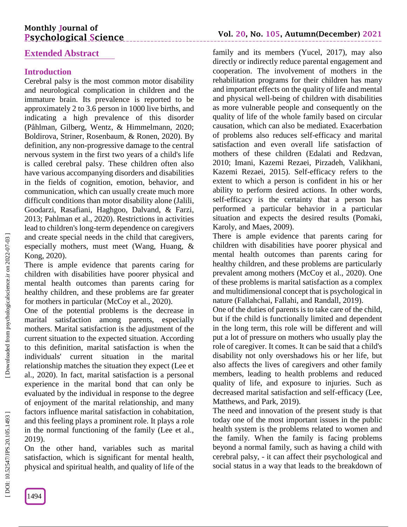# **Monthly Journal of Psychological Science**

# **Extended Abstract**

## **Introduction**

Cerebral palsy is the most common motor disability and neurological complication in children and the immature brain. Its prevalence is reported to be approximately 2 to 3.6 person in 1000 live births, and indicating a high prevalence of this disorder (Påhlman, Gilberg, Wentz, & Himmelmann, 2020; Boldirova, Striner, Rosenbaum, & Ronen, 2020). By definition, any non -progressive damage to the central nervous system in the first two years of a child's life is called cerebral palsy. These children often also have various accompanying disorders and disabilities in the fields of cognition, emotion, behavior, and communication, which can usually create much more difficult conditions than motor disability alone (Jalili, Goodarzi, Rasafiani, Haghgoo, Dalvand, & Farzi, 2013; Pahlman et al., 2020). Restrictions in activities lead to children's long -term dependence on caregivers and create special needs in the child that caregivers, especially mothers, must meet (Wang, [Huang,](https://pubmed.ncbi.nlm.nih.gov/?term=Huang+Z&cauthor_id=29129110) & [Kong,](https://pubmed.ncbi.nlm.nih.gov/?term=Kong+F&cauthor_id=29129110) 2020).

There is ample evidence that parents caring for children with disabilities have poorer physical and mental health outcomes than parents caring for healthy children, and these problems are far greater for mothers in particular (McCoy et al., 2020).

One of the potential problems is the decrease in marital satisfaction among parents, especially mothers. Marital satisfaction is the adjustment of the current situation to the expected situation. According to this definition, marital satisfaction is when the individuals' current situation in the marital relationship matches the situation they expect (Lee et al., 2020). In fact, marital satisfaction is a personal experience in the marital bond that can only be evaluated by the individual in response to the degree of enjoyment of the marital relationship, and many factors influence marital satisfaction in cohabitation, and this feeling plays a prominent role. It plays a role in the normal functioning of the family (Lee et al., 2019).

On the other hand, variables such as marital satisfaction, which is significant for mental health, physical and spiritual health, and quality of life of the family and its members (Yucel, 2017), may also directly or indirectly reduce parental engagement and cooperation. The involvement of mothers in the rehabilitation programs for their children has many and important effects on the quality of life and mental and physical well -being of children with disabilities as more vulnerable people and consequently on the quality of life of the whole family based on circular causation, which can also be mediated. Exacerbation of problems also reduces self-efficacy and marital satisfaction and even overall life satisfaction of mothers of these children (Edalati and Redzvan, 2010; Imani, Kazemi Rezaei, Pirzadeh, Valikhani, Kazemi Rezaei, 2015). Self-efficacy refers to the extent to which a person is confident in his or her ability to perform desired actions. In other words, self-efficacy is the certainty that a person has performed a particular behavior in a particular situation and expects the desired results (Pomaki, Karoly, and Maes, 2009).

There is ample evidence that parents caring for children with disabilities have poorer physical and mental health outcomes than parents caring for healthy children, and these problems are particularly prevalent among mothers (McCoy et al., 2020). One of these problems is marital satisfaction as a complex and multidimensional concept that is psychological in nature (Fallahchai, Fallahi, and Randall, 2019).

One of the duties of parents is to take care of the child, but if the child is functionally limited and dependent in the long term, this role will be different and will put a lot of pressure on mothers who usually play the role of caregiver. It comes. It can be said that a child's disability not only overshadows his or her life, but also affects the lives of caregivers and other family members, leading to health problems and reduced quality of life, and exposure to injuries. Such as decreased marital satisfaction and self-efficacy (Lee, Matthews, and Park, 2019).

The need and innovation of the present study is that today one of the most important issues in the public health system is the problems related to women and the family. When the family is facing problems beyond a normal family, such as having a child with cerebral palsy, - it can affect their psychological and social status in a way that leads to the breakdown of

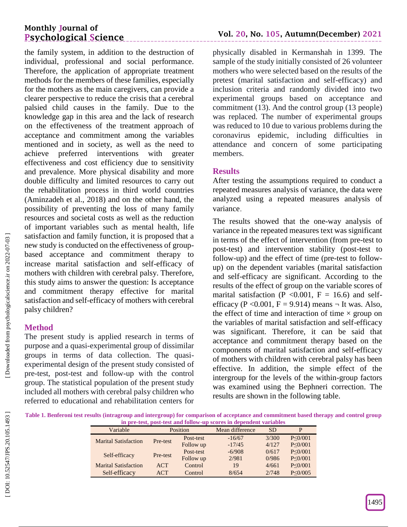# **Monthly Journal of Psychological Science**

the family system, in addition to the destruction of individual, professional and social performance. Therefore, the application of appropriate treatment methods for the members of these families, especially for the mothers as the main caregivers, can provide a clearer perspective to reduce the crisis that a cerebral palsied child causes in the family . Due to the knowledge gap in this area and the lack of research on the effectiveness of the treatment approach of acceptance and commitment among the variables mentioned and in society, as well as the need to achieve preferred interventions with greater effectiveness and cost efficiency due to sensitivity and prevalence. More physical disability and more double difficulty and limited resources to carry out the rehabilitation process in third world countries (Aminzadeh et al., 2018) and on the other hand, the possibility of preventing the loss of many family resources and societal costs as well as the reduction of important variables such as mental health, life satisfaction and family function, it is proposed that a new study is conducted on the effectiveness of group based acceptance and commitment therapy to increase marital satisfaction and self -efficacy of mothers with children with cerebral palsy. Therefore, this study aims to answer the question: Is acceptance and commitment therapy effective for marital satisfaction and self-efficacy of mothers with cerebral palsy children?

# **Method**

The present study is applied research in terms of purpose and a quasi -experimental group of dissimilar groups in terms of data collection. The quasi experimental design of the present study consisted of pre -test, post -test and follow -up with the control group. The statistical population of the present study included all mothers with cerebral palsy children who referred to educational and rehabilitation centers for

physically disabled in Kermanshah in 1399. The sample of the study initially consisted of 26 volunteer mothers who were selected based on the results of the pretest (marital satisfaction and self-efficacy) and inclusion criteria and randomly divided into two experimental groups based on acceptance and commitment (13). And the control group (13 people ) was replaced. The number of experimental groups was reduced to 10 due to various problems during the coronavirus epidemic, including difficulties in attendance and concern of some participating members.

# **Results**

After testing the assumptions required to conduct a repeated measures analysis of variance, the data were analyzed using a repeated measures analysis of variance.

The results showed that the one -way analysis of variance in the repeated measures text was significant in terms of the effect of intervention (from pre -test to post -test) and intervention stability (post -test to follow-up) and the effect of time (pre-test to followup) on the dependent variables (marital satisfaction and self-efficacy are significant. According to the results of the effect of group on the variable scores of marital satisfaction (P < 0.001, F = 16.6) and selfefficacy (P < 0.001, F = 9.914) means  $\neg$  It was. Also, the effect of time and interaction of time  $\times$  group on the variables of marital satisfaction and self -efficacy was significant. Therefore, it can be said that acceptance and commitment therapy based on the components of marital satisfaction and self -efficacy of mothers with children with cerebral palsy has been effective. In addition, the simple effect of the intergroup for the levels of the within -group factors was examined using the Bephneri correction. The results are shown in the following table.

**Table 1. Benferoni test results (intragroup and intergroup) for comparison of acceptance and commitment based therapy and control group in pre -test, post -test and follow -up scores in dependent variables**

| <br><b>UVOU MAANA AVAAV II</b><br>DUVE UD AA WURDWANDWAN THA AMMADD |          |           |                 |           |                |  |
|---------------------------------------------------------------------|----------|-----------|-----------------|-----------|----------------|--|
| Variable                                                            | Position |           | Mean difference | <b>SD</b> | P              |  |
| <b>Marital Satisfaction</b>                                         | Pre-test | Post-test | $-16/67$        | 3/300     | P < 0/001      |  |
|                                                                     |          | Follow up | $-17/45$        | 4/127     | P < 0/001      |  |
| Self-efficacy                                                       | Pre-test | Post-test | $-6/908$        | 0/617     | P < 0/001      |  |
|                                                                     |          | Follow up | 2/981           | 0/986     | P < 0/001      |  |
| <b>Marital Satisfaction</b>                                         | ACT      | Control   | 19              | 4/661     | P < 0/001      |  |
| Self-efficacy                                                       | ACT      | Control   | 8/654           | 2/748     | $P \leq 0/005$ |  |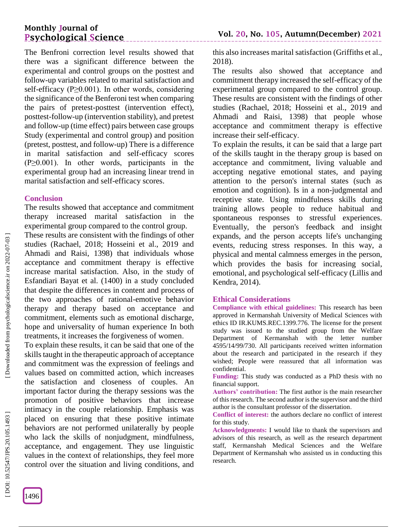## **Monthly Journal of Psychological Science**

The Benfroni correction level results showed that there was a significant difference between the experimental and control groups on the posttest and follow -up variables related to marital satisfaction and self-efficacy ( $P \ge 0.001$ ). In other words, considering the significance of the Benferoni test when comparing the pairs of pretest -posttest (intervention effect), posttest -follow -up (intervention stability), and pretest and follow -up (time effect) pairs between case groups Study (experimental and control group) and position (pretest, posttest, and follow -up) There is a difference in marital satisfaction and self -efficacy scores  $(P \ge 0.001)$ . In other words, participants in the experimental group had an increasing linear trend in marital satisfaction and self-efficacy scores.

### **Conclusion**

The results showed that acceptance and commitment therapy increased marital satisfaction in the experimental group compared to the control group.

These results are consistent with the findings of other studies (Rachael, 2018; Hosseini et al., 2019 and Ahmadi and Raisi, 1398) that individuals whose acceptance and commitment therapy is effective increase marital satisfaction. Also, in the study of Esfandiari Bayat et al. (1400) in a study concluded that despite the differences in content and process of the two approaches of rational -emotive behavior therapy and therapy based on acceptance and commitment, elements such as emotional discharge, hope and universality of human experience In both treatments, it increases the forgiveness of women .

To explain these results, it can be said that one of the skills taught in the therapeutic approach of acceptance and commitment was the expression of feelings and values based on committed action, which increases the satisfaction and closeness of couples. An important factor during the therapy sessions was the promotion of positive behaviors that increase intimacy in the couple relationship. Emphasis was placed on ensuring that these positive intimate behaviors are not performed unilaterally by people who lack the skills of nonjudgment, mindfulness, acceptance, and engagement. They use linguistic values in the context of relationships, they feel more control over the situation and living conditions, and this also increases marital satisfaction (Griffiths et al., 2018).

The results also showed that acceptance and commitment therapy increased the self -efficacy of the experimental group compared to the control group. These results are consistent with the findings of other studies (Rachael, 2018; Hosseini et al., 2019 and Ahmadi and Raisi, 1398) that people whose acceptance and commitment therapy is effective increase their self-efficacy .

To explain the results, it can be said that a large part of the skills taught in the therapy group is based on acceptance and commitment, living valuable and accepting negative emotional states, and paying attention to the person's internal states (such as emotion and cognition ). Is in a non -judgmental and receptive state. Using mindfulness skills during training allows people to reduce habitual and spontaneous responses to stressful experiences. Eventually, the person's feedback and insight expands, and the person accepts life's unchanging events, reducing stress responses. In this way, a physical and mental calmness emerges in the person, which provides the basis for increasing social, emotional, and psychological self-efficacy (Lillis and Kendra, 2014).

#### **Ethical Considerations**

**Compliance with ethical guidelines:** This research has been approved in Kermanshah University of Medical Sciences with ethics ID IR.KUMS.REC.1399.776. The license for the present study was issued to the studied group from the Welfare Department of Kermanshah with the letter number 4595/14/99/730. All participants received written information about the research and participated in the research if they wished; People were reassured that all information was confidential.

**Funding:** This study was conducted as a PhD thesis with no financial support.

**Authors' contribution:** The first author is the main researcher of this research. The second author is the supervisor and the third author is the consultant professor of the dissertation .

**Conflict of interest:** the authors declare no conflict of interest for this study.

**Acknowledgments:** I would like to thank the supervisors and advisors of this research, as well as the research department staff, Kermanshah Medical Sciences and the Welfare Department of Kermanshah who assisted us in conducting this research.

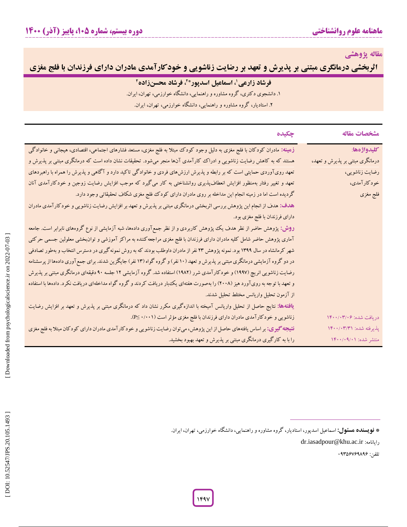**مقاله پژوهشی**

**فرشاد زارعی اثربخشی درمانگری مبتنی بر پذیرش و تعهد بر رضایت زناشویی و خودکارآمدی مادران دارای فرزندان با فلج مغزی**

| ِ فرشاد زارعی'، اسماعیل اسدپور* <sup>۲</sup> ، فرشاد محسنزاده <sup>۲</sup> |
|----------------------------------------------------------------------------|
| ۱. دانشجوی دکتری، گروه مشاوره و راهنمایی، دانشگاه خوارزمی، تهران، ایران.   |
| ۲. استادیار، گروه مشاوره و راهنمایی، دانشگاه خوارزمی، تهران، ایران.        |

| مشخصات مقاله                    | چکیده                                                                                                                            |
|---------------------------------|----------------------------------------------------------------------------------------------------------------------------------|
| كليدواژهها:                     | زهینه: مادران کودکان با فلج مغزی به دلیل وجود کودک مبتلا به فلج مغزی، مستعد فشارهای اجتماعی، اقتصادی، هیجانی و خانوادگی          |
| درمانگری مبتنی بر پذیرش و تعهد، | هستند که به کاهش رضایت زناشویی و ادراک کارآمدی آنها منجر میشود. تحقیقات نشان داده است که درمانگری مبتنی بر پذیرش و               |
| رضايت زناشويي،                  | تعهد رویآوردی حمایتی است که بر رابطه و پذیرش ارزشهای فردی و خانوادگی تاکید دارد و آگاهی و پذیرش را همراه با راهبردهای            |
| خودكارآمدي،                     | تعهد و تغییر رفتار بهمنظور افزایش انعطافپذیری روانشناختی به کار میگیرد که موجب افزایش رضایت زوجین و خودکارآمدی آنان              |
| فلج مغزى                        | گردیده است اما در زمینه انجام این مداخله بر روی مادران دارای کودک فلج مغزی شکاف تحقیقاتی وجود دارد.                              |
|                                 | هدف: هدف از انجام این پژوهش بررسی اثربخشی درمانگری مبتنی بر پذیرش و تعهد بر افزایش رضایت زناشویی و خودکارآمدی مادران             |
|                                 | دارای فرزندان با فلج مغزی بود.                                                                                                   |
|                                 | <b>روش: پ</b> ژوهش حاضر از نظر هدف یک پژوهش کاربردی و از نظر جمع آوری دادهها، شبه آزمایشی از نوع گروههای نابرابر است. جامعه      |
|                                 | آماری پژوهش حاضر شامل کلیه مادران دارای فرزندان با فلج مغزی مراجعه کننده به مراکز آموزشی و توانبخشی معلولین جسمی حرکتی           |
|                                 | شهر کرمانشاه در سال ۱۳۹۹ بود. نمونه پژوهش ۲۳ نفر از مادران داوطلب بودند که به روش نمونه گیری در دسترس انتخاب و بهطور تصادفی      |
|                                 | در دو گروه آزمایشی درمانگری مبتنی بر پذیرش و تعهد (۱۰ نفر) و گروه گواه (۱۳ نفر) جایگزین شدند. برای جمع آوری دادهها از پرسشنامه   |
|                                 | رضایت زناشویی انریچ (۱۹۹۷) و خودکارآمدی شرر (۱۹۸۲) استفاده شد. گروه آزمایشی ۱۲ جلسه ۹۰ دقیقهای درمانگری مبتنی بر پذیرش           |
|                                 | و تعهد با توجه به رویآورد هیز (۲۰۰۸) را بهصورت هفتهای یک بار دریافت کردند و گروه گواه مداخلهای دریافت نکرد. دادهها با استفاده    |
|                                 | از آزمون تحلیل واریانس مختلط تحلیل شدند.                                                                                         |
|                                 | <b>یافتهها:</b> نتایج حاصل از تحلیل واریانس آمیخته با اندازهگیری مکرر نشان داد که درمانگری مبتنی بر پذیرش و تعهد بر افزایش رضایت |
| دریافت شده: ۱۴۰۰/۰۳/۰۶          | زناشویی و خودکارآمدی مادران دارای فرزندان با فلج مغزی مؤثر است (۰۰۰۱) P≤.                                                        |
| پذیرفته شده: ۱۴۰۰/۰۳/۳۱         | <b>نتیجه گیری:</b> بر اساس یافتههای حاصل از این پژوهش، میتوان رضایت زناشویی و خودکار آمدی مادران دارای کودکان مبتلا به فلج مغزی  |
| منتشر شده: ۰/۰۹/۰۱/۱۴۰۰/        | را با به کارگیری درمانگری مبتنی بر پذیرش و تعهد بهبود بخشید.                                                                     |
|                                 | * <b>نویسنده هسئول:</b> اسماعیل اسدپور، استادیار، گروه مشاوره و راهنمایی، دانشگاه خوارزمی، تهران، ایران.                         |

dr.iasadpour@khu.ac.ir :رایانامه

تلفن: 64090104940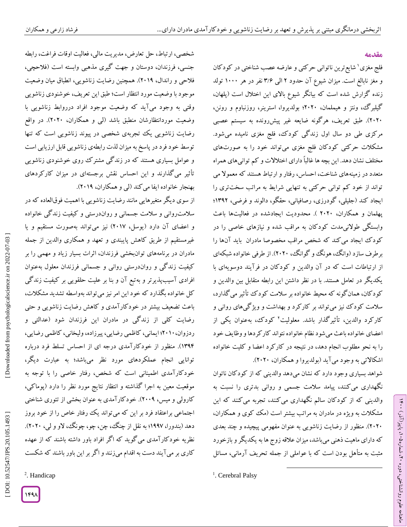### **مقدمه**

ラ・

، پاییز)آذر( 769

، شماره 26

ماهنامه علوم روانشناختی، دوره

فلج مغزی <sup>۱</sup> شایع ترین ناتوانی حرکتی و عارضه عصب شناختی در کودکان و مغز نابالغ است. میزان شیوع آن حدود ۲ آلی ۳/۶ نفر در هر ۱۰۰۰ تولد زنده کزارش شده است که بیانکر شیوع بالای این اختلال است (پلهان، گیلبرگ، ونتز و هیملمان، ۲۰۲۰؛ بولدیروا، استرینر، روزنباوم و رونن،<br>۲۰۲۰). طبق تعریف، هرگونه ضایعه غیر پیشررونده به سیستم عصبی مرکزی طی دو سال اول زندگی کودک، فلج مغزی نامیده میشود. مشکلات حرکتی کودکان فلج مغزی میتواند خود را به صورتهای مختلف نشان دهد. این بچه ها غالباً دارای اختالالت و کم توانیهای همراه متعدد در زمینههای شناخت، احساس، رفتار و ارتباط هستند که معموال می تواند از خود کم توانی حرکتی به تنهایی شرایط به مراتب سختتری را<br>ایجاد کند (جلیلی، گودرزی، رصافیانی، حقگو، دالوند و فرضی، ۱۳۹۲؛ پهلمان و همکاران، ۲۰۲۰ ). محدودیت ایجادشده در فعالیتها باعث وابستکی طولانیمدت کودکان به مراقب شده و نیازهای خاصی را در کود ک ایجاد می کند که شخص مراقب مخصوصا مادران باید آنها را برطرف سازد (وانگ، هونگ و گوانگ، ۲۰۲۰). از طرفی خانواده شبکهای<br>از ارتباطات است که در آن والدین و کودکان در فرآیند دوسویهای با<br>یکدیگر در تعامل هستند. با در نظر داشتن این رابطه متقابل بین والدین و گود کان، همان کونه که محیط خانواده بر سلامت کود ک تأثیر می کدارد، سلامت کودک نیز می تواند بر کار کرد و بهداشت و ویژ کیهای روانی و کارکرد والدین، تأثیرگذار باشد. معلولیت<sup>۲</sup> کودک، بهعنوان یکی از اعضای خانواده باعث می شود نظام خانواده نتواند کار کردها و وظایف خود را به نحو مطلوب انجام دهد، در نتیجه در کارکرد اعضا و کلیت خانواده اشکالاتی به وجود می ا ید (بولدیروا و همکاران، ۲۰۲۰).

شواهد بسیاری وجود دارد که نشان میدهد والدینی که از کودکان ناتوان نگهداری می کنند، پیامد سلامت جسمی و روانی بدتری را نسبت به والدینی که از کودکان سالم نگهداری میکنند، تجربه میکنند که این مشکالت به ویژه در مادران به مراتب بیشتر است )مک کوی و همکاران، 2626(. منظور از رضایت زناشویی به عنوان مفهومی پیچیده و چند بعدی که دارای ماهیت ذهنی میباشد، میزان عالقه زوج ها به یکدیگر و بازخورد مثبت به متأهل بودن است که با عواملی از جمله تحریف آرمانی، مسائل

 $\overline{\phantom{a}}$ 

شخصی، ارتباط، حل تعارض، مدیریت مالی، فعالیت اوقات فراغت، رابطه جنسی، فرزندان، دوستان و جهت گیری مذهبی وابسته است )فالحچی، فالحی و راندال، 2674(. همچنین رضایت زناشویی، انطباق میان وضعیت موجود با وضعیت مورد انتظار است؛ طبق این تعریف، خوشنودی زناشویی وقتی به وجود میآید که وضعیت موجود افراد درروابط زناشویی با وضعیت موردانتظارشان منطبق باشد )لی و همکاران، 2626(. در واقع رضایت زناشویی یک تجربهی شخصی در پیوند زناشویی است که تنها توسط خود فرد در پاسخ به میزان لذت رابطهی زناشویی قابل ارزیابی است و عوامل بسیاری هستند که در زندگی مشترک روی خوشنودی زناشویی تأثیر میگذارند و این احساس نقش برجستهای در میزان کارکردهای بهنجار خانواده ایفا میکند (لی و همکاران، ٢٠١٩).

از سوی دیگر متغیرهایی مانند رضایت زناشویی با اهمیت فوقالعاده که در سلامت٫وانی و سلامت جسمانی و رواندرستی و کیفیت زندگی خانواده و اعضای آن دارد (یوسل، ۲۰۱۷) نیز میتواند بهصورت مستقیم و یا غیرمستقیم از طریق کاهش پایبندی و تعهد و همکاری والدین از جمله مادران در برنامههای توانبخشی فرزندان، اثرات بسیار زیاد و مهمی را بر کیفیت زندگی و رواندرستی روانی و جسمانی فرزندان معلول بهعنوان افرادی اسیب $\mathfrak{u}$ بیرتر و بهتبع آن و بنا بر علیت حلقویی بر کیفیت زندگی کل خانواده بگذارد که خود این امر نیز می تواند بهواسطه تشدید مشکلات، باعث تضعیف بیشتر در خود کارآمدی و کاهش رضایت زناشویی و حتی رضایت کلی از زندگی در مادران این فرزندان شود )عدالتی و ردزوان، ۲۰۱۰؛ ایمانی، کاظمی رضایی، پیرزاده، ولیخانی، کاظمی رضایی، . منظور از خودکارآمدی درجه ای از احساس تسلط فرد درباره )7049 توانایی انجام عملکردهای مورد نظر میباشد؛ به عبارت دیگر، خودکارآمدی اطمینانی است که شخص، رفتار خاصی را با توجه به موقعیت معین به اجرا کداشته و انتظار نتایج مورد نظر را دارد (پوماکی، کارولی و میس، ۲۰۰۹). خود کار آمدی به عنوان بخشی از تئوری شناختی اجتماعی براعتقاد فرد بر این که میتواند یک رفتار خاص را از خود بروز دهد (بندورا، ۱۹۹۷؛ به نقل از چنگ، چن، چو، چونگ، لاو و لی، ۲۰۲۰). نظریه خودکارآمدی میگوید که اگر افراد باور داشته باشند که از عهده 2 کاری بر میآیند دست به اقدام میزنند و اگر بر این باور باشند که شکست

<sup>2</sup>. Handicap

<sup>&</sup>lt;sup>1</sup>. Cerebral Palsy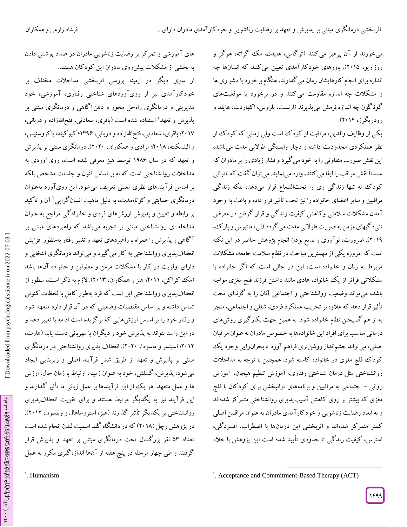میخورند از آن پرهیز میکنند )توگاس، هایدن، مک گراته، هوگز و روزاریو، ۲۰۱۵). باورهای خودکارآمدی تعیین می کنند که انسانها چه اندازه برای انجام کارهایشان زمان میگذارند، هنگام برخورد با دشواری ها و مشکالت چه اندازه مقاومت میکنند و در برخورد با موقعیتهای گوناگون چه اندازه نرمش میپذیرند (ارنست، بلروس، اکهاردت، هایلد و<br>رودر بگرز، ۲۰۱۴).

یکی از وظایف والدین، مراقبت از کودک است ولی زمانی که کودک از نظر عملکردی محدودیت داشته و دچار وابستگی طوالنی مدت میباشد، این نقش صورت متفاوتی را به خود میگیرد و فشار زیادی را بر مادران که عمدتاً نقش مراقب را ایفا میکنند، وارد مینماید. میتوان گفت که ناتوانی کودک نه تنها زندگی وی را تحتالشعاع قرار میدهد، بلکه زندگی مراقبین و سایر اعضای خانواده را نیز تحت تأثیرقرار داده و باعث به وجود آمدن مشکالت سالمتی وکاهش کیفیت زندگی و قرار گرفتن در معرض تنیدگیهای مزمن به صورت طوالنی مدت میگردد)لی، ماتیوس و پارک، ۲۰۱۹). ضرورت، نوآوری و بدیع بودن انجام پژوهش حاضر در این نکته<br>است که امروزه یکی از مهمترین مباحث در نظام سلامت جامعه، مشکلات مربوط به زنان و خانواده است، این در حالی است که اگر خانواده با مشکالتی فراتر از یک خانواده عادی مانند داشتن فرزند فلج مغزی مواجه باشد، میتواند وضعیت روانشناختی و اجتماعی آنان را به گونهای تحت تأثیرقرار دهد که عالوه بر تخریب عملکرد فردی، شغلی و اجتماعی، منجر به از هم گسیختن نظام خانواده شود. به همین جهت بکارگیری روشهای درمانی مناسب برای افراد این خانوادهها به خصوص مادران به عنوان مراقبان اصلی، میتواند چشمانداز روشنتری فراهم آورد تا بحرانزایی وجود یک کودک فلج مغزی در خانواده کاسته شود. همچنین با توجه به مداخالت ش روانشناختی مثل درمان شناختی رفتاری، آموزش تنظیم هیجان، آموز روانی – اجتماعی به مراقبین و برنامههای توانبخشی برای کودکان با فلج مغزی که بیشتر بر روی کاهش آسیبپذیری روانشناختی متمرکز شدهاند و به ابعاد رضایت زناشویی و خودکارآمدی مادران به عنوان مراقبین اصلی کمتر متمرکز شدهاند و اثربخشی این درمانها با اضطراب، افسردگی، استرس، کیفیت زندگی تا حدودی تأیید شده است این پژوهش با خالء

7944

های آموزشی و تمرکز بر رضایت زناشویی مادران در صدد پوشش دادن به بخشی از مشکالت پیشروی مادران این کودکان هستند. از سوی دیگر در زمینه بررسی اثربخشی مداخالت مختلف بر خودکارآمدی نیز از رویآوردهای شناختی رفتاری، آموزشی، خود مدیریتی و درمانگری راهحل محور و ذهنآگاهی و درمانگری مبتنی بر پذیرش و تعهد` استفاده شده است (باقری، سعادتی، فتحاللهزاده و دربانی، ۲۰۱۷؛ باقری، سعادتی، فتحاللّفزاده و دربانی، ۱۳۹۶؛ کپو کینه، پاکروسنیس، و الینسکیته، ۲۰۱۸؛ مرادی و همکاران، ۲۰۲۰). درمانگری مبتنی بر پذیرش و تعهد که در سال 7490 توسط هیز معرفی شده است، رویآوردی به مداخالت روانشناختی است که نه بر اساس فنون و جلسات مشخص بلکه بر اساس فرآیندهای نظری معینی تعریف میشود. این رویآورد بهعنوان درمانگری حمایتی و کوتاهمدت، به دلیل ماهیت انسانگرایی 2 آن و تأکید بر رابطه و تعیین و پذیرش ارزشهای فردی و خانوادگی مراجع به عنوان مداخله ای روانشناختی مبتنی بر تجربه میباشد که راهبردهای مبتنی بر آگاهی و پذیرش را همراه با راهبردهای تعهد و تغییر رفتار بهمنظورافزایش انعطافپذیری روانشناختی به کار می کیرد و می تواند درمانکری انتخابی و دارای اولویت در کار با مشکلات مزمن و معلولین و خانواده آنها باشد (مک کراکن، ۲۰۱۱؛ هیز و همکاران، ۲۰۱۳). لازم به د کر است، منظور از ی روانشناختی این است که فرد بهطور کامل با لحظات کنونی انعطافپذیر تماس داشته و بر اساس مقتضیات وضعیتی که در آن قرار دارد متعهد شود و رفتار خود را بر اساس ارزشهایی که بر کزیده است ادامه یا تغییر دهد و در این راستا بتواند به پذیرش خود و دیگران با مهربانی دست یابد (هارت، ۲۰۱۲؛ اسپنسر و ماسودا، ۲۰۲۰). انعطاف پدیری روانشناختی در درمانگری مبتنی بر پدیرش و تعهد از طریق شش فرآیند اصلی و زیربنایی ایجاد میشود: پذیرش، کسلش، خود به عنوان زمینه، ارتباط با زمان حال، ارزش ها و عمل متعهد. هر یک از این فرآیندها بر عمل زبانی ما تأثیر گذارند و این فرآیند نیز به یگدیگر مرتبط هستند و برای تقویت انعطافپذیری روانشناختی بر یکدیگر تأثیر گذارند (هیز، استروساهال و ویلسون، ۲۰۱۲). در پژوهش رچل (۲۰۱۸) که در دانشگاه گلد اسمیت لندن انجام شده است تعداد 90 نفر بزرگسال تحت درمانگری مبتنی بر تعهد و پذیرش قرار 2 گرفتند و طی چهار مرحله در پنج هفته از آنها اندازهگیری مکرر به عمل

 $\gamma_{\rm s}$ هنامه  $\gamma_{\rm s}$ وهه $\epsilon$ از $\gamma_{\rm s}$ ور $\gamma_{\rm s}$ ورور $\gamma_{\rm s}$ ورها $\gamma_{\rm s}$ ال $\gamma_{\rm s}$ ورانشناختی، دورها

ماهنامه مهوه د اخوانز می از مورد بر از دو در است و مورد بر از در ۱۴۰۰٬۰۰۰

 $\overline{\phantom{a}}$ <sup>1</sup>. Acceptance and Commitment-Based Therapy (ACT)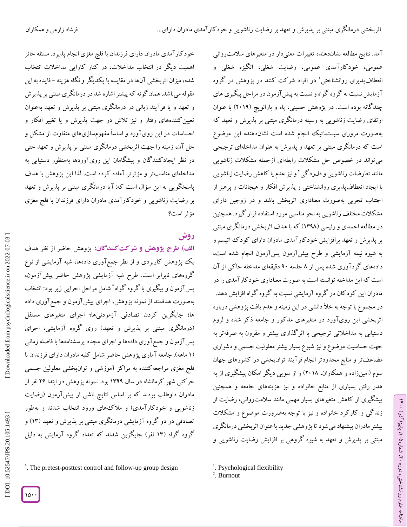خودکارآمدی مادران دارای فرزندان با فلج مغزی انجام پذیرد. مسئله حائز اهمیت دیگر در انتخاب مداخالت، در کنار کارایی مداخالت انتخاب

شده، میزان اثربخشی آنها در مقایسه با یکدیگر و نگاه هزینه –فایده به این

مقوله می باشد. همان کونه که پیشتر اشاره شد در درمانگری مبتنی بر پدیرش و تعهد و یا فرآیند زبانی در درمانگری مبتنی بر پذیرش و تعهد بهعنوان

کنندههای رفتار و نیز تالش در جهت پذیرش و یا تغییر افکار و تعیین احساسات در این رویآورد و اساساً مفهومسازیهای متفاوت از مشکل و حل آن، زمینه را جهت اثربخشی درمانگری مبتنی بر پذیرش و تعهد حتی در نظر ایجادکنندگان و پیشگامان این رویآوردها بهمنظور دستیابی به مداخلهای مناسبتر و مؤثرتر آماده کرده است. لذا این پژوهش با هدف

پاسخکویی به این سؤال است که: آیا درمانگری مبتنی بر پذیرش و تعهد بر رضایت زناشویی و خودکارآمدی مادران دارای فرزندان با فلج مغزی

الف) طرح پژوهش و شرکت *گ*نندگان: پژوهش حاضر از نظر هدف

یک پژوهش کاربردی و از نظر جمعآوری دادهها، شبه آزمایشی از نوع<br>گروههای نابرابر است. طرح شبه آزمایشی پژوهش حاضر پیشآزمون،

پسآزمون و پیگیری با گروه گواه 0 شامل مراحل اجرایی زیر بود: انتخاب بهصورت هدفمند از نمونه پژوهش، اجرای پیشآزمون و جمعآوری داده ها؛ جایگزین کردن تصادفی آزمودنیها؛ اجرای متغیرهای مستقل

(درمانگری مبتنی بر پدیرش و تعهد) روی گروه آزمایشی، اجرای پسآزمون و جمعآوری دادهها و اجرای مجدد پرسشنامهها با فاصله زمانی

(۱ ماهه). جامعه آماری پژوهش حاضر شامل کلیه مادران دارای فرزندان با فلج مغزی مراجعهکننده به مراکز آموزشی و توانبخشی معلولین جسمی

حرکتی شهر کرمانشاه در سال 7044 بود. نمونه پژوهش در ابتدا 20 نفر از مادران داوطلب بودند که بر اساس نتایج ناشی از پیشآزمون )رضایت زناشویی و خودکارآمدی) و ملاک های ورود انتخاب شدند و بهطور تصادفی در دو گروه آزمایشی درمانگری مبتنی بر پذیرش و تعهد )70( و 3 گروه گواه )70 نفر( جایگزین شدند که تعداد گروه آزمایش به دلیل

مؤثر است؟

**روش**

امد. نتایج مطالعه نشاندهنده تغییرات معنیدار در متغیرهای سلامت روانی عمومی، خودکارآمدی عمومی، رضایت شغلی، انگیزه شغلی و انعطافپذیری روانشناختی` در افراد شرکت کنند در پژوهش در گروه آزمایش نسبت به گروه گواه و نسبت به پیشآزمون در مراحل پیگیری های چندگانه بوده است. در پژوهش حسینی، پاه و بارانویچ )2674( با عنوان ارتقای رضایت زناشویی به وسیله درمانگری مبتنی بر پذیرش و تعهد که بهصورت مروری سیستماتیک انجام شده است نشاندهنده این موضوع است که درمانگری مبتنی بر تعهد و پذیرش به عنوان مداخلهای ترجیحی میتواند در خصوص حل مشکالت رابطهای ازجمله مشکالت زناشویی مانند تعارضات زناشویی و دلزدگی ٔ و نیز عدم یا کاهش رضایت زناشویی با ایجاد انعطافپذیری روانشناختی و پذیرش افکار و هیجانات و پرهیز از اجتناب تجربی بهصورت معناداری اثربخش باشد و در زوجین دارای مشکالت مختلف زناشویی به نحو مناسبی مورد استفاده قرار گیرد. همچنین در مطالعه احمدی و رئیسی )7049( که با هدف اثربخشی درمانگری مبتنی بر پذیرش و تعهد برافزایش خودکارآمدی مادران دارای کودک اتیسم و به شیوه نیمه آزمایشی و طرح پیشآزمون پسآزمون انجام شده است، دادههای گردآوری شده پس از ۸ جلسه ۹۰ دقیقهای مداخله حاکی از آن است که این مداخله توانسته است به صورت معناداری خودکارآمدی را در مادران این کودکان در گروه آزمایشی نسبت به گروه گواه افزایش دهد. در مجموع با توجه به خلا دانشی در این زمینه و عدم یافت پژوهشی درباره اثربخشی این رویآورد در متغیرهای مذکور و جامعه ذکر شده و لزوم دستیابی به مداخالتی ترجیحی با اثرگذاری بیشتر و مقرون به صرفهتر به جهت حساسیت موضوع و نیز شیوع بسیار بیشتر معلولیت جسمی و دشواری مضاعفتر و منابع محدودتر انجام فرآیند توانبخشی در کشورهای جهان سوم (امینزاده و همکاران، ۲۰۱۸) و از سویی دیگر امکان پیشگیری از به هدر رفتن بسیاری از منابع خانواده و نیز هزینههای جامعه و همچنین پیشگیری از کاهش متغیرهای بسیار مهمی مانند سالمتروانی، رضایت از زندگی و کارکرد خانواده و نیز با توجه بهضرورت موضوع و مشکالت بیشتر مادران پیشنهاد می شود تا پژوهشی جدید با عنوان اثربخشی درمانگری مبتنی بر پذیرش و تعهد به شیوه گروهی بر افزایش رضایت زناشویی و

ラ・

، پاییز)آذر( 769

، شماره 26

ماهنامه علوم روانشناختی، دوره

 $\overline{\phantom{a}}$ 

 $10.4$ 

<sup>.</sup> The pretest -posttest control and follow -up group design

<sup>&</sup>lt;sup>1</sup>. Psychological flexibility

<sup>2</sup> . [Burnout](http://jams.arakmu.ac.ir/article-1-5710-en.pdf)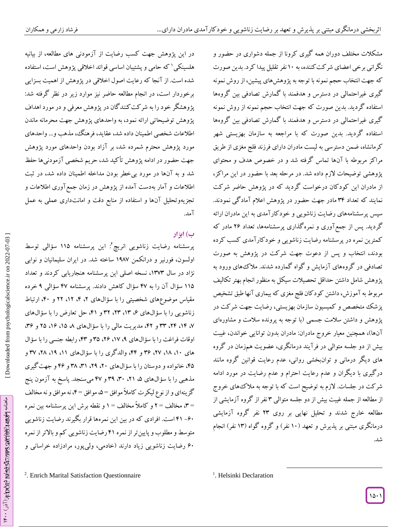در این پژوهش جهت کسب رضایت از آزمودنی های مطالعه، از بیانیه هلسینکی 7 که حامی و پشتیبان اساسی قوائد اخالقی پژوهش است، استفاده شده است. از آنجا که رعایت اصول اخالقی در پژوهش از اهمیت بسزایی برخوردار است، در انجام مطالعه حاضر نیز موارد زیر در نظر گرفته شد: پژوهشگر خود را به شرکتکنندگان در پژوهش معرفی و در مورد اهداف پژوهش توضیحاتی ارائه نمود، به واحدهای پژوهش جهت محرمانه ماندن اطالعات شخصی اطمینان داده شد، عقاید، فرهنگ، مذهب و... واحدهای مورد پژوهش محترم شمرده شد، بر آزاد بودن واحدهای مورد پژوهش جهت حضور در ادامه پژوهش تأکید شد، حریم شخصی آزمودنیها حفظ شد و به آنها در مورد بیخطر بودن مداخله اطمینان داده شد، در ثبت اطالعات و آمار بهدست آمده از پژوهش در زمان جمعآوری اطالعات و تجزیهوتحلیل آنها و استفاده از منابع دقت و امانتداری عملی به عمل آمد.

## **( ابزار ب**

پرسشنامه رضایت زناشویی انریچ<sup>ة</sup>: این پرسشنامه ۱۱۵ سؤالی توسط اولسون، فورنیر و درانکمن 7491 ساخته شد. در ایران سلیمانیان و نوابی نژاد در سال ۱۳۷۳، نسخه اصلی این پرسشنامه هنجاریابی کردند و تعداد ۱۱۵ سؤال آن را به ۴۷ سؤال کاهش دادند. پرسشنامه ۴۷ سؤالی ۹ خرده مقیاس موضوعهای شخصیتی را با سؤال\$ای ۲، ۴، ۱۲ و ۴۰، ارتباط زناشویی را با سؤال های ۴، ۳۳، ۳۲ و ۴۱، حل تعارض را با سؤال های ۷، ۱۴، ۲۴، ۳۳ و ۴۲، مدیریت مال<sub>ی</sub> را با سؤال\$ای ۸ ۱۵، ۱۶، ۲۵ و ۳۶، اوقات فراغت را با سؤال(های ۹، ۱۷، ۲۶، ۳۵ و ۴۳، رابطه جنسی را با سؤال های ۱۰، ۱۸، ۲۷، ۳۶ و ۴۴، والدگری را با سؤال\$های ۱۱، ۱۹، ۲۸، ۳۷ و ۴۵، خانواده و دوستان را با سؤالهای ۲۰، ۴۹، ۳۱، ۳۸ و ۴۶ و جهت گیری مذهبی را با سؤالهای ۵، ۲۱، ۳۰، ۳۹ و ۴۷ میسنجد. پاسخ به آزمون پنج گزینهای و از نوع لیکرت کاملاً موافق =۵، موافق =۴، نه موافق و نه مخالف =۳، مخالف =۲ و کاملاً مخالف =۱ و نقطه برش این پرسشنامه بین نمره 97 است. افرادی که در بین این نمرهها قرار بگیرند رضایت زناشویی -06 متوسط و مطلوب و پایینتر از نمره 97 رضایت زناشویی کم و باالتر از نمره ۶۰ رضایت زناشویی زیاد دارند (خادمی، ولیپور، مرادزاده خراسانی و<br>2. Enrich Marital Satisfaction Questionnaire

مشکالت مختلف دوران همه گیری کرونا از جمله دشواری در حضور و نگرانی برخی اعضای شرکتکننده، به 76 نفر تقلیل پیدا کرد. بدین صورت که جهت انتخاب حجم نمونه با توجه به پژوهشهای پیشین، از روش نمونه<br>گیری غیراحتمالی در دسترس و هدفمند با گمارش تصادفی بین گروهها استفاده گردید. بدین صورت که جهت انتخاب حجم نمونه از روش نمونه گیری غیراحتمالی در دسترس و هدفمند با گمارش تصادفی بین گروهها استفاده گردید. بدین صورت که با مراجعه به سازمان بهزیستی شهر کرمانشاه، ضمن دسترسی به لیست مادران دارای فرزند فلج مغزی از طریق مراکز مربوطه با آنها تماس گرفته شد و در خصوص هدف و محتوای پژوهشی توضیحات الزم داده شد. در مرحله بعد با حضور در این مراکز، از مادران این کودکان درخواست گردید که در پژوهش حاضر شرکت نمایند که تعداد 09 مادر جهت حضور در پژوهش اعالم آمادگی نمودند. سپس پرسشنامههای رضایت زناشویی و خودکارآمدی به این مادران ارائه گردید. پس از جمعآوری و نمرهگذاری پرسشنامهها، تعداد 20 مادر که کمترین نمره در پرسشنامه رضایت زناشویی و خودکارآمدی کسب کرده بودند، انتخاب و پس از دعوت جهت شرکت در پژوهش به صورت تصادفی در گروههای آزمایش و گواه گمارده شدند. مالکهای ورود به پژوهش شامل داشتن حداقل تحصیالت سیکل به منظور انجام بهتر تکالیف مربوط به آموزش، داشتن کودکان فلج مغزی که بیماری آنها طبق تشخیص پزشک متخصص و کمیسیون سازمان بهزیستی، رضایت جهت شرکت در پژوهش و داشتن سالمت جسمی )با توجه به پرونده سالمت و مشاورهای آنها)، همچنین معیار خروج مادران: مادران بدون توانایی خواندن، غیبت بیش از دو جلسه متوالی در فرآیند درمانگری، عضویت همزمان در گروه های دیگر درمانی و توانبخشی روانی، عدم رعایت قوانین گروه مانند درگیری با دیگران و عدم رعایت احترام و عدم رضایت در مورد ادامه شرکت در جلسات. الزم به توضیح است که با توجه به مالکهای خروج از مطالعه از جمله غیبت بیش از دو جلسه متوالی ۳ نفر از کروه آزمایشی از مطالعه خارج شدند و تحلیل نهایی بر روی 20 نفر گروه آزمایشی درمانگری مبتنی بر پذیرش و تعهد (۱۰ نفر) و گروه گواه (۱۳ نفر) انجام شد.

 $\overline{\phantom{a}}$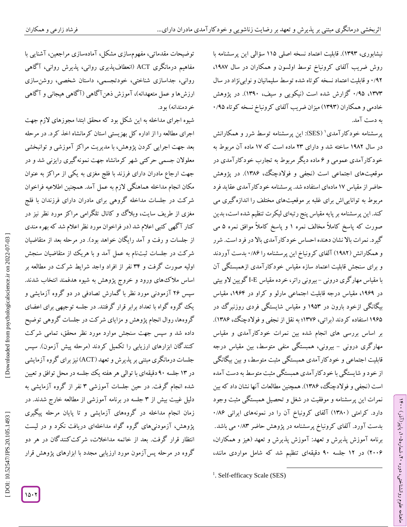نیشابوری، 7040(. قابلیت اعتماد نسخه اصلی 779 سؤالی این پرسشنامه با روش ضریب آلفای کرونباخ توسط اولسون و همکاران در سال ۱۹۸۷، و قابلیت اعتماد نسخه کوتاه شده توسط سلیمانیان و نوابینژاد در سال 6 /42 ۱۳۷۳، ۱٬۹۵ کزارش شده است (نیکویی و سیف، ۱۳۹۰). در پژوهش خادمی و همکاران (۱۳۹۳) میزان ضریب آلفای کرونباخ نسخه کوتاه ۰/۹۵ به دست آمد.

پرسشنامه خودکارآمدی' (SES): این پرسشنامه توسط شرر و همکارانش در سال ۱۹۸۲ ساخته شد و دارای ۲۳ ماده است که ۱۷ ماده آن مربوط به خود کار آمدی عمومی و ۶ ماده دیگر مربوط به تجارب خود کار آمدی در موقعیتهای اجتماعی است (نجفی و فولادچنگ، ۱۳۸۶). در پژوهش حاضر از مقیاس 71 مادهای استفاده شد. پرسشنامه خودکارآمدی عقاید فرد مربوط به تواناییاش برای غلبه بر موقعیتهای مختلف را اندازهگیری می کند. این پرسشنامه بر پایه مقیاس پنج رتبهای لیکرت تنظیم شده است، بدین صورت که پاسخ کاملاً مخالف نمره ۱ و پاسخ کاملاً موافق نمره ۵ می گیرد. نمرات باال نشان دهنده احساس خودکارآمدی باال در فرد است. شرر و همکارانش (۱۹۸۲) آلفای کرونباخ این پرسشنامه را ۰/۸۶ بدست آوردند و برای سنجش قابلیت اعتماد سازه مقیاس خود کار آمدی ازهمبستگی آن با مقیاس مهارگری درونی – بیرونی راتر، خرده مقیاس I-E گویین لاو بیتی در ۱۹۶۹، مقیاس درجه قابلیت اجتماعی مارلو و کراو در ۱۹۶۴، مقیاس بیگانگی ازخود بارون در ۱۹۵۳ و مقیاس شایستگی فردی روزنبر گ در ۱۹۶۵ استفاده کردند (براتی، ۱۳۷۶؛ به نقل از نجفی و فولادچنگ، ۱۳۸۶). بر اساس بررسی های انجام شده بین نمرات خودکارآمدی و مقیاس مهار کری درونی – بیرونی، همبستگی منفی متوسط، بین مقیاس درجه قابلیت اجتماعی و خود کار آمدی همبستگی مثبت متوسط، و بین بیکانگی از خود و شایستگی با خود کار آمدی همبستگی مثبت متوسط به دست آمده است (نجفی و فولادچنگ، ۱۳۸۶). همچنین مطالعات آنها نشان داد که بین نمرات این پرسشنامه و موفقیت در شغل و تحصیل همبستگی مثبت وجود<br>دارد. کرامتی (۱۳۸۰) آلفای کرونباخ آن را در نمونههای ایرانی ۱/۸۶<br>بدست آورد. آلفای کرونباخ پرسشنامه در پژوهش حاضر ۸۳/۰۳ می باشد. برنامه آموزش پذیرش و تعهد: آموزش پذیرش و تعهد )هیز و همکاران، 2660( در 72 جلسه 46 دقیقهای تنظیم شد که شامل مواردی مانند،

ラ・

، پاییز)آذر( 769

، شماره 26

ماهنامه علوم روانشناختی، دوره

 $\overline{\phantom{a}}$ 

توضیحات مقدماتی، مفهومسازی مشکل، آمادهسازی مراجعین، آشنایی با مفاهیم درمانگری ACT( انعطافپذیری روانی، پذیرش روانی، آگاهی روانی، جداسازی شناختی، خودتجسمی، داستان شخصی، روشنسازی ارزشها و عمل متعهدانه)، آموزش دهن۱ کاهی (۱ کاهی هیجانی و ۱ کاهی خر دمندانه) بو د.

شیوه اجرای مداخله به این شکل بود که محقق ابتدا مجوزهای الزم جهت اجرای مطالعه را از اداره کل بهزیستی استان کرمانشاه اخذ کرد. در مرحله بعد جهت اجرایی کردن پژوهش، با مدیریت مراکز آموزشی و توانبخشی معلوالن جسمی حرکتی شهر کرمانشاه جهت نمونهگیری رایزنی شد و در جهت ارجاع مادران دارای فرزند با فلج مغزی به یکی از مراکز به عنوان مکان انجام مداخله هماهنگی الزم به عمل آمد. همچنین اطالعیه فراخوان شرکت در جلسات مداخله گروهی برای مادران دارای فرزندان با فلج مغزی از طریف سایت، وبلاگ و کانال تلگرامی مراکز مورد نظر نیز در کنار آگهی کتبی اعالم شد )در فراخوان مورد نظر اعالم شد که بهره مندی از جلسات و رفت و آمد رایگان خواهد بود(. در مرحله بعد از متقاضیان شرکت در جلسات ثبتنام به عمل آمد و با هریک از متقاضیان سنجش اولیه صورت گرفت و 09 نفر از افراد واجد شرایط شرکت در مطالعه بر اساس مالکهای ورود و خروج پژوهش به شیوه هدفمند انتخاب شدند. سپس 20 آزمودنی مورد نظر با گمارش تصادفی در دو گروه آزمایشی و یک گروه گواه با تعداد برابر قرار گرفتند. در جلسه توجیهی برای اعضای گروهها، روال انجام پژوهش و مزایای شرکت در جلسات گروهی توضیح داده شد و سپس جهت سنجش موارد مورد نظر محقق، تمامی شرکت کنندگان ابزارهای ارزیابی را تکمیل کردند (مرحله پیش آزمون). سپس جلسات درمانگری مبتنی بر پذیرش و تعهد (ACT) نیز برای گروه آزمایشی در 70 جلسه 46 دقیقهای با توالی هر هفته یک جلسه در محل توافق و تعیین شده انجام کرفت. در حین جلسات آموزشی ۳ نفر از کروه آزمایشی به دلیل غیبت بیش از ۳ جلسه در برنامه آموزشی از مطالعه خارج شدند. در زمان انجام مداخله در گروههای آزمایشی و تا پایان مرحله پیگیری پژوهش، آزمودنیهای گروه گواه مداخلهای دریافت نکرد و در لیست انتظار قرار گرفت. بعد از خاتمه مداخالت، شرکتکنندگان در هر دو گروه در مرحله پسآزمون مورد ارزیابی مجدد با ابزارهای پژوهش قرار

<sup>&</sup>lt;sup>1</sup>. Self-efficacy Scale (SES)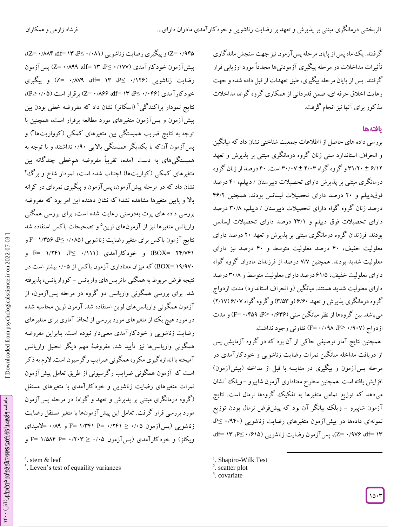گرفتند. یک ماه پس از پایان مرحله پس آزمون نیز جهت سنجش ماندگاری تأثیرات مداخالت در مرحله پیگیری آزمودنیها مجدداً مورد ارزیابی قرار گرفتند. پس از پایان مرحله پیگیری، طبق تعهدات از قبل داده شده و جهت رعایت اخالق حرفه ای، ضمن قدردانی از همکاری گروه گواه، مداخالت مذکور برای آنها نیز انجام گرفت.

## **یافتهها**

بررسی داده های حاصل از ااطالعات جمعیت شناختی نشان داد که میانگین و انحراف استاندارد سنی زنان گروه درمانگری مبتنی بر پذیرش و تعهد ۳۱/۲۰ ± ۶/۱۲و گروه گواه ۳۰/۰۲ ± ۳۰/۰۷ است. ۴۰ درصد از زنان گروه درمانگری مبتنی بر پذیرش دارای تحصیالت دبیرستان / دیپلم، 96 درصد فوقدیپلم و ۲۰ درصد دارای تحصیلات لیسانس بودند. همچنین ۴۶/۲ درصد زنان کروه کواه دارای تحصیلات دبیرستان / دیپلم، ۳۰/۸ درصد دارای تحصیلات فوق دیپلم و ۲۳/۱ درصد دارای تحصیلات لیسانس بودند. فرزندان گروه درمانگری مبتنی بر پذیرش و تعهد 26 درصد دارای معلولیت خفیف، 96 درصد معلولیت متوسط و 96 درصد نیز دارای معلولیت شدید بودند. همچنین ۷/۷ درصد از فرزندان مادران کروه کواه دارای معلولیت خفیف، ۶۱/۵ درصد دارای معلولیت متوسط و ۳۰/۸ درصد دارای معلولیت شدید هستند. میانگین )و انحراف استاندارد( مدت ازدواج گروه درمانگری پدیرش و تعهد *۶/۶۰ (و ۳/*۵۳) و گروه گواه ۲/۱۷/*۶/۰*۷ میباشد. بین گروهها از نظر میانگین سنی (P= ۰/۴۵۹، P> ۰/۶۳۶) و مدت ازدواج (۰/۰۹۸ –P> ،۱۰۹۸) تفاوتی وجود نداشت.

همچنین نتایج آمار توصیفی حاکی از آن بود که در گروه آزمایشی پس از دریافت مداخله میانگین نمرات رضایت زناشویی و خودکارآمدی در مرحله پسآزمون و پیگیری در مقایسه با قبل از مداخله (پیشآزمون) افزایش یافته است. همچنین سطوح معناداری آزمون شاپیرو –ویلک<sup>ی ۱</sup> نشان میدهد که توزیع تمامی متغیرها به تفکیک گروهها نرمال است. نتایج ازمون شاپیرو – ویلک بیانگر آن بود که پیشفرض نرمال بودن توزیع نمونهای دادهها در پیشآزمون متغیرهای رضایت زناشویی (۱۹۴۰∙ ≥P، ،df= 70 ، P ≥ 6 /079 (، پسآزمون رضایت زناشویی ) Z = 6 /410 ،df= 70

 $\overline{\phantom{a}}$ 

پیشآزمون خودکارآمدی (۱۷۷/ - Q≤، ۱۳ =df (74۹ ،df) پسآزمون رضایت زناشویی (۱۲۶۰ >P⊻ ۱۳ =df ،۸۷۹/۰ =Z) و پیگیری خودکارآمدی (۱۴۶–۲۵ ،M۶۴ =C= ۰/۸۶۶)۰ =Z) برقرار است (۱۰۵≥–P)، نتایج نمودار پراکندگی<sup>۲</sup> (اسکاتر) نشان داد که مفروضه خطی بودن بین پیش۱زمون و پس۱زمون متغیرهای مورد مطالعه برقرار است، همچنین با<br>توجه به نتایج ضریب همبستگی بین متغیرهای کمکی (کوواریتها۳) و پس ازمون آن که با یکدیگر همبستگی بالایی ۰/۹۰ نداشتند و با توجه به چندگانه بین همبستگیهای به دست آمده، تقریباً مفروضه همخطی متغیرهای کمکی (کواریتها) اجتناب شده است، نمودار شاخ و برگ<sup>ی۴</sup> نشان داد که در مرحله پیش آزمون، پس آزمون و پیگیری نمرهای در کرانه بالا و پایین متغیرها مشاهده نشد؛ که نشان دهنده این امر بود که مفروضه بررسی داده های پرت بهدرستی رعایت شده است، برای بررسی همگنی واریانس متغیرها نیز از آزمونهای لوین<sup>۵</sup> و تصحیحات باکس استفاده شد نتایج آزمون باکس برای متغیر رضایت زناشویی (۱٬۳۵۶ &۴=۱٬۳۵ =F BOX= ۱۳/۷۴۱ ـ E= ۱/۲۴۱ ـ P≤ ./۱۱۱۱ ـ F= ۱/۲۴۱ ـ F= و ۱۹/۹۷۰ BOX=) که میزان معناداری آزمون باکس از ۰/۰۵ بیشتر است در نتیجه فرض مربوط به همکنی ماتریس های واریانس – کوواریانس، پدیرفته شد. برای بررسی همگونی واریانس دو گروه در مرحله پسآزمون، از آزمون همگونی واریانسهای لوین استفاده شد. آزمون لوین محاسبه شده در مورد هیچ یک از متغیرهای مورد بررسی از لحاظ آماری برای متغیرهای رضایت زناشویی و خودکارآمدی معنیدار نبوده است. بنابراین مفروضه همکونی واریانسها نیز تایید شد. مفروضۀ مهم دیگر تحلیل واریانس آمیختهبا اندازهگیری مکرر، همگونی ضرایب رگرسیون است. الزم به ذکر است که آزمون همگونی ضرایب رکرسیونی از طریق تعامل پیش[زمون نمرات متغیرهای رضایت زناشویی و خودکارآمدی با متغیرهای مستقل (کروه درمانگری مبتنی بر پدیرش و تعهد و کواه) در مرحله پس آزمون مورد بررسی قرار کرفت. تعامل این پیش ازمونها با متغیر مستقل رضایت زناشویی (پسآزمون ۰/۰۵ ≤ ۲۴۱/۳۴۱ P= ۱/۳۴۱ F= و ۰/۸۹ =لامبدای ویکلز) و خودکارآمدی (پسآزمون ۰/۰۵ ≤ ۲۰۳+ =F و F= ۱/۵۸۴ P

Z= ۰/۹۴۵) و پیگیری رضایت زناشویی (۰/۰۸۱- QF) ۵۴۵' (z= ۰/۸۸۴

 $\gamma_{\rm s}$ هنامه  $\gamma_{\rm s}$ وهه $\epsilon$ از $\gamma_{\rm s}$ ور $\gamma_{\rm s}$ ورور $\gamma_{\rm s}$ ورها $\gamma_{\rm s}$ ال $\gamma_{\rm s}$ ورانشناختی، دورها

ماهنامه مهوه د اخوانز می از مورد بر از دو در است و مورد بر از در ۱۴۰۰٬۰۰۰

<sup>&</sup>lt;sup>1</sup>. Shapiro-Wilk Test

<sup>&</sup>lt;sup>2</sup>. scatter plot

<sup>&</sup>lt;sup>3</sup>. covariate

<sup>4</sup> . stem & leaf 5 . Leven's test of equaility variances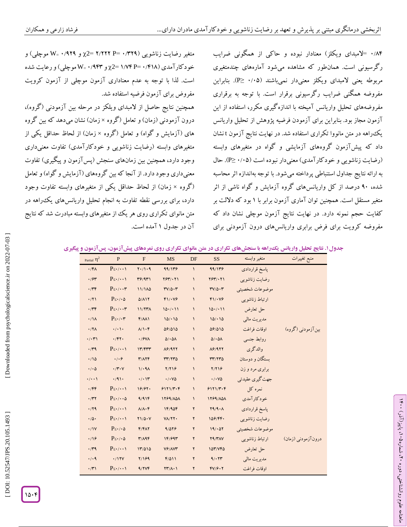۰/۸۴ =لامبدای ویکلز) معنادار نبوده و حاکی از همگونی ضرایب رگرسیونی است. همانطور که مشاهده میشود آمارههای چندمتغیری مربوطه یعنی لامبدای ویکلز معنیدار نمیباشند (۱۰۵− ≤P). بنابراین مفروضه همگنی ضرایب رگرسیونی برقرار است. با توجه به برقراری مفروضههای تحلیل واریانس آمیخته با اندازهگیری مکرر، استفاده از این آزمون مجاز بود. بنابراین برای آزمودن فرضیه پژوهش از تحلیل واریانس یک،راهه در متن مانووا تکراری استفاده شد. در نهایت نتایج آزمون t نشان داد که پیشآزمون گروههای آزمایشی و گواه در متغیرهای وابسته (رضایت زناشویی و خودکارآمدی) معنیدار نبوده است (۰/۰۵-P≥). حال به ارائه نتایج جداول استنباطی پرداخته میشود. با توجه بهاندازه اثر محاسبه شده، 46 درصد از کل واریانسهای گروه آزمایش و گواه ناشی از اثر متغیر مستقل است. همچنین توان آماری آزمون برابر با ۱ بود که دلالت بر کفایت حجم نمونه دارد. در نهایت نتایج آزمون موچلی نشان داد که مفروضه کرویت برای فرض برابری واریانسهای درون آزمودنی برای

متغیر رضایت زناشویی (۳۲۹/۲۰ P= ۲/۲۲۲ P= (۹۲۹ و ۷۳<sub>=</sub> ۷ موچلی) و خودکارآمدی (۱٬۴۱۸ -x2 = ۱٬۷۴ P=۰/۴۱۸ موچلی) و رعایت شده است. لذا با توجه به عدم معناداری آزمون موچلی از آزمون کرویت مفروض برای آزمون فرضیه استفاده شد. همچنین نتایج حاصل از المبدای ویلکز در مرحله بین آزمودنی )گروه(، درون آزمودنی (زمان) و تعامل (کروه × زمان) نشان میدهد که بین کروه های (آزمایش و گواه) و تعامل (گروه × زمان) از لحاظ حداقل یکی از متغیرهای وابسته (رضایت زناشویی و خودکارآمدی) تفاوت معنیداری وجود دارد، همچنین بین زمانهای سنجش (پسآزمون و پیگیری) تفاوت معنی داری وجود دارد. از آنجا که بین گروههای (آزمایش و گواه) و تعامل )گروه × زمان( از لحاظ حداقل یکی از متغیرهای وابسته تفاوت وجود دارد، برای بررسی نقطه تفاوت به انجام تحلیل واریانسهای یکراهه در متن مانوای تکراری روی هر یک از متغیرهای وابسته مبادرت شد که نتایج آن در جدول ۱ آمده است.

جدول ۱. نتايج تحليل واريانس يک راهه با سنجشهای تکراری در متن مانوای تکراری روی نمرههای پيشآزمون، پس**آزمون و پيگير**ی

| Partial $\eta^2$     | $\, {\bf P}$                     | $\mathbf F$                          | <b>MS</b>                               | DF              | <b>SS</b>                    | متغير وابسته    | منبع تغييرات       |
|----------------------|----------------------------------|--------------------------------------|-----------------------------------------|-----------------|------------------------------|-----------------|--------------------|
| $\cdot$ /۴۸          | $P_{\leq t}/t \cdot 1$           | $Y \cdot / Y \cdot 9$                | 99/179                                  | $\sqrt{2}$      | 99/179                       | پاسخ قراردادي   |                    |
| $\cdot$ /۶۳          | $P_{\leq t}/t \cdot t$           | 49/41                                | $Y5Y/\cdot Y$                           | $\sqrt{2}$      | $Y5Y/\cdot Y$                | رضایت زناشویی   |                    |
| $\cdot$ /۳۴          | $P_{\leq t}/\cdots r$            | 11/1 <sub>0</sub>                    | $TV/\Delta \cdot \Upsilon$              | $\sqrt{2}$      | $TV/\Delta \cdot Y$          | موضوعات شخصيتي  |                    |
| $\cdot$ /٢١          | $P_{\leq t}/\cdot \Delta$        | $\Delta/\Lambda$ 17                  | $F1/\cdot V9$                           | $\sqrt{2}$      | $F1/\cdot V9$                | ارتباط زناشویی  |                    |
| $\cdot$ /۳۴          | $P_{\leq t}/\cdots r$            | <b>11/77A</b>                        | 10.7.11                                 | $\sqrt{2}$      | 10.7.11                      | حل تعارض        |                    |
| $\cdot/\Lambda$      | $P_{\leq t}/\cdot r$             | F/M1                                 | 10/10                                   | $\sqrt{2}$      | 10/10                        | مديريت مالي     |                    |
| $\cdot$ /۲۸          | $\cdot/\cdot$ \ $\cdot$          | $\lambda/\lambda \cdot f$            | 09/010                                  | $\sqrt{2}$      | 09/010                       | اوقات فراغت     | بین آزمودنی (گروه) |
| $\cdot/\cdot$ ۳۱     | $\cdot$ /۴۲.                     | $\cdot$ / $9$ V $\wedge$             | $\Delta/\cdot \Delta\Lambda$            | $\mathcal{L}$   | $\Delta/\cdot\Delta\Lambda$  | روابط جنسى      |                    |
| $\cdot$ /۳۹          | $P_{\leq t}/t \cdot t$           | 17/577                               | $\Lambda$ ۶/۹۲۲                         | $\sqrt{2}$      | $\Lambda$ ۶/۹۲۲              | والدگری         |                    |
| $\cdot/10$           | $\cdot/\cdot$                    | $Y/\Lambda Y$                        | rr/rr0                                  | $\sqrt{2}$      | rr/rr0                       | بستگان و دوستان |                    |
| $\cdot/\cdot \Delta$ | $\cdot$ /۳ $\cdot$               | 1/4A                                 | Y/YY9                                   | $\mathcal{L}$   | Y/YY9                        | برابری مرد و زن |                    |
| $\cdot/\cdot\cdot$   | .791.                            | $\cdot/\cdot$ \r                     | $\cdot$ / $\cdot$ Y $\Delta$            | $\sqrt{2}$      | $\cdot$ / $\cdot$ Y $\Delta$ | جهت گیری عقیدتی |                    |
| $\cdot$ /۴۴          | $P_{\leq}$ . $\cdot \cdot \cdot$ | 19/97.                               | 9171/T·F                                | $\blacklozenge$ | 9171/T·F                     | نمرہ کل         |                    |
| $\cdot$ /٣٢          | $P_{\leq t}/t \cdot \delta$      | 9/916                                | <b>1799/ADA</b>                         | $\mathcal{L}$   | 1799/101                     | خودكارآمدي      |                    |
| .79                  | $P_{\leq t}/t \cdot t$           | $\Lambda/\Lambda \cdot \mathfrak{f}$ | 1F/9OF                                  | ٢               | Y9/9.1                       | پاسخ قراردادي   |                    |
| $\cdot/\Delta$       | $P_{\leq t}/t \cdot t$           | $Y1/\Delta \cdot V$                  | $V/\Upsilon$                            | ٢               | 109/44.                      | رضایت زناشویی   |                    |
| $\cdot/1V$           | $P_{\leq t}/\cdot \Delta$        | $F/F\Lambda Y$                       | 9/079                                   | ۲               | 19/07                        | موضوعات شخصيتي  |                    |
| .19                  | $P_{\leq t}/\cdot \Delta$        | T/AP                                 | 1F/99T                                  | ۲               | Y9/YAY                       | ارتباط زناشويي  | درونآزمودنی (زمان) |
| $\cdot$ ra           | $P_{\leq t}/t \cdot t$           | 17/010                               | $V$ $9$ / $V$ $V$                       | ٢               | 107/140                      | حل تعارض        |                    |
| . / . 9              | .717V                            | Y/199                                | $F/\Delta 11$                           | ٢               | 9/177                        | مدیریت مالی     |                    |
| $\cdot$ /۳۱          | $P_{\leq t}/t \cdot t$           | 9/7Vf                                | $\Upsilon\Upsilon/\Lambda\cdot\Upsilon$ | ٢               | fV/f.7                       | اوقات فراغت     |                    |

Downloaded from psychologicalscience.ir on 2022-07-03

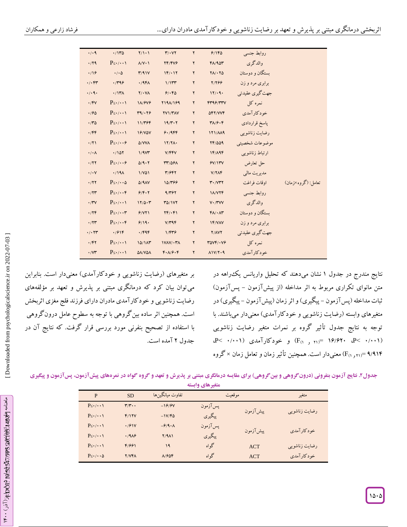| $\cdot$ / $\cdot$ 9        | .7170                                | $Y/\mathcal{V}\cdot\mathcal{V}$     | $Y/\cdot YY$                  | ٢                | 9/180                                  | روابط جنسی      |                    |
|----------------------------|--------------------------------------|-------------------------------------|-------------------------------|------------------|----------------------------------------|-----------------|--------------------|
| .79                        | $P_{\leq t}/t \cdot t$               | $\Lambda/\mathrm{V}\cdot\mathrm{V}$ | YF/YY9                        | ٢                | FA/90r                                 | والدگري         |                    |
| .19                        | $\cdot/\cdot \Delta$                 | Y/91V                               | $1F/\cdot 1Y$                 | ۲                | $Y \wedge / \cdot Y \wedge$            | بستگان و دوستان |                    |
| $\cdot/\cdot$ ۴۳           | .799                                 | .497                                | 1/1rr                         | ۲                | 2/266                                  | برابری مرد و زن |                    |
| .7.9.                      | $.717\lambda$                        | $Y/\cdot Y$                         | 91.80                         | ٢                | 17/4.                                  | جهت گیری عقیدتی |                    |
| $\cdot$ /FV                | $P_{\leq t}/t \cdot 1$               | 11/919                              | <b>7191/199</b>               | ۲                | FT99/TTV                               | نمرہ کل         |                    |
| .790                       | $P_{\leq} \cdot / \cdot \cdot \cdot$ | T9/179                              | <b>TV1/TAV</b>                | ۲                | <b>SFY/VVF</b>                         | خودكارآمدي      |                    |
| .70                        | $P_{\leq t}/t \cdot t$               | 11/796                              | $19/T \cdot T$                | ۲                | $Y\Lambda/\mathcal{G}\cdot\mathcal{F}$ | پاسخ قراردادي   |                    |
| $\cdot$ /۴۴                | $P_{\leq t}/t \cdot 1$               | <b>19/VOV</b>                       | 9.1999                        | ٢                | <b>171/119</b>                         | رضایت زناشویی   |                    |
| $\cdot$ /٢١                | $P_{\leq t}/\cdots\frac{1}{r}$       | $\Delta$ /VVA                       | 17/7 <sub>A</sub>             | ٢                | 77/009                                 | موضوعات شخصيتي  |                    |
| $\cdot/\cdot \wedge$       | .7107                                | 1/9V <sup>2</sup>                   | V/FFV                         | ٢                | 14/194                                 | ارتباط زناشویی  |                    |
| .777                       | $P_{\leq t}/\cdots\frac{1}{r}$       | $\Delta$ /9.7                       | <b>٣٣/٥۶٨</b>                 | ۲                | 9V/11V                                 | حل تعارض        |                    |
| $\cdot/\cdot\vee$          | .7191                                | $1/V\Delta1$                        | T/9FT                         | $\pmb{\Upsilon}$ | $V/Y\wedge F$                          | مدیریت مالی     |                    |
| .777                       | $P_{\leq t}/t \cdot \delta$          | $\Delta$ /9 $\Lambda$ V             | 10/٣۶۶                        | ٢                | $Y \cdot / VYY$                        | اوقات فراغت     | تعامل: (گروه×زمان) |
| $\cdot$ /۲۳                | $P_{\leq t}/\cdots$ ۴                | 9/9.7                               | 9/797                         | ٢                | <b>IA/VTF</b>                          | روابط جنسي      |                    |
| $\cdot$ /۳ $\vee$          | $P_{\leq t}/t \cdot 1$               | 17/0.7                              | <b>٣٥/١٧٢</b>                 | ۲                | $V \cdot / TVV$                        | والدگری         |                    |
| .779                       | $P_{\leq t}/\cdots r$                | 9/11                                | $YF/\cdot F$                  | ۲                | $f\Lambda/\cdot\Lambda\tau$            | بستگان و دوستان |                    |
| $\cdot$ /۲۳                | $P_{\leq t}/\cdots r$                | 9/19.                               | V/T9F                         | ۲                | <b>IF/VAV</b>                          | برابری مرد و زن |                    |
| $\cdot$ / $\cdot$ $\tau$ ۳ | .791F                                | .799                                | 1/FY9                         | $\mathbf Y$      | <b>Y/AVY</b>                           | جهت گیري عقیدتي |                    |
| $\cdot$ /۴۲                | $P_{\leq t}/t \cdot 1$               | 10/1 <sup>M</sup>                   | $1VAV/\cdot Y$                | $\mathsf{Y}$     | $T\Delta VF/\cdot VF$                  | نمرہ کل         |                    |
| $\cdot$ / $\vee\tau$       | $P_{\leq 1}/\cdots$                  | ΔΛ/ΥΔΛ                              | $F \cdot \Lambda / 9 \cdot F$ | ۲                | $\Lambda$ 1 $V$ /۲۰۹                   | خو د کار آمدي   |                    |
|                            |                                      |                                     |                               |                  |                                        |                 |                    |

بر متغیرهای (رضایت زناشویی و خودکارآمدی) معنیدار است. بنابراین میتوان بیان کرد که درمانگری مبتنی بر پذیرش و تعهد بر مؤلفههای رضایت زناشویی و خودکارآمدی مادران دارای فرزند فلج مغزی اثربخش است. همچنین اثر ساده بین گروهی با توجه به سطوح عامل درون گروهی با استفاده از تصحیح بنفرنی مورد بررسی قرار گرفت. که نتایج آن در جدول ۲ آمده است.

نتایج مندرج در جدول ۱ نشان میدهند که تحلیل واریانس یک $وراهه در$ متن مانوای تکراری مربوط به اثر مداخله (از پیش۱زمون – پس۱زمون) تبات مداخله (پس آزمون – پیگیری) و اثر زمان (پیش آزمون – پیگیری) در متغیرهای وابسته (رضایت زناشویی و خودکارآمدی) معنیدار میباشند. با توجه به نتایج جدول تأثیر گروه بر نمرات متغیر رضایت زناشویی<br>(F<sub>(۱٫ ۲۱</sub>)= ۱۶/۶۲۰ (P< ۰/۰۰۱) و خودکارآمدی (۰/۰۰۱) ۹/۹۱۴ =<sub>(۲۱ و ۲</sub>۱) معنیدار است. همچنین تأثیر زمان و تعامل زمان × گروه

| جدول۲. نتایج آزمون بنفرونی (درونگروهی و بینگروهی) برای مقایسه درمانگری مبتنی بر پذیرش و تعهد و گروه گواه در نمرههای پیشآزمون، پسآزمون و پیگیری |  |
|------------------------------------------------------------------------------------------------------------------------------------------------|--|
| متغيرهاي وابسته                                                                                                                                |  |

| P                            | <b>SD</b>               | تفاوت ميانگينها     |         | موقعيت     | متغير          |  |
|------------------------------|-------------------------|---------------------|---------|------------|----------------|--|
| $P\le\cdot/\cdot\cdot\$      | $\mathbf{r}/\mathbf{r}$ | $-19/9V$            | پسآزمون |            |                |  |
| $P\le\cdot/\cdot\cdot\$      | F/1YV                   | $-1V/F\Delta$       | پيگيري  | پیشآزمون   | رضایت زناشویبی |  |
| $P\le\cdot/\cdot\cdot\$      | .791V                   | $-\frac{\rho}{4}$ . | پسآزمون |            | خودكارآمدي     |  |
| $P\le\cdot/\cdot\cdot\$      | .1919                   | $Y/9\Lambda$        | پيگيري  | پیش آزمون  |                |  |
| $P\le\cdot/\cdot\cdot\$      | 41991                   | ١٩                  | گواه    | <b>ACT</b> | رضایت زناشویبی |  |
| $P\le\cdot/\cdot\cdot\Delta$ | Y/VFA                   | $A/F\Delta F$       | گو اه   | <b>ACT</b> | خودكارآمدي     |  |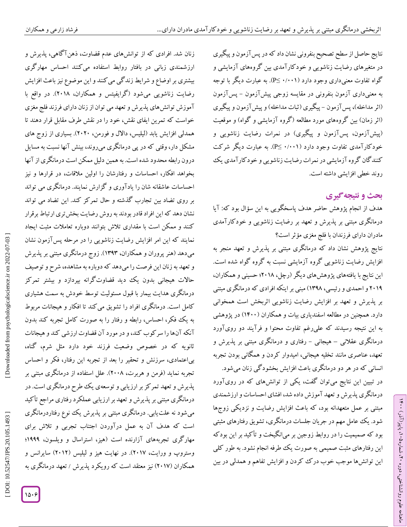نتایج حاصل از سطح تصحیح بنفرونی نشان داد که در پس آزمون و پیگیری در متغیرهای رضایت زناشویی و خودکارآمدی بین گروههای آزمایشی و گواه تفاوت معنیداری وجود دارد (۰/۰۰۱ ≥P). به عبارت دیگر با توجه به معنیداری آزمون بنفرونی در مقایسه زوجی پیش[زمون – پس|زمون (اثر مداخله)، پس آزمون – پیگیری (ثبات مداخله) و پیش آزمون و پیگیری (اثر زمان) بین گروههای مورد مطالعه (گروه آزمایشی و گواه) و موقعیت (پیشآزمون، پسآزمون و پیگیری) در نمرات رضایت زناشویی و خودکارآمدی تفاوت وجود دارد (۰/۰۰۱ ≥P). به عبارت دیگر شرکت کنندگان گروه آزمایشی در نمرات رضایت زناشویی و خودکارآمدی یک روند خطی افزایشی داشته است.<br>**بحث و نتیجه گیری** 

هدف از انجام پژوهش حاضر هدف پاسخگویی به این سؤال بود که: آیا درمانگری مبتنی بر پذیرش و تعهد بر رضایت زناشویی و خودکارآمدی مادران دارای فرزندان با فلج مغزی مؤثر است؟

نتایج پژوهش نشان داد که درمانگری مبتنی بر پذیرش و تعهد منجر به افزایش رضایت زناشویی گروه آزمایشی نسبت به گروه گواه شده است. این نتایج با یافتههای پژوهشهای دیگر )رچل، 2679؛ حسینی و همکاران، 2674 و احمدی و رئیسی، 7049( مبنی بر اینکه افرادی که درمانگری مبتنی بر پذیرش و تعهد بر افزایش رضایت زناشویی اثربخش است همخوانی دارد. همچنین در مطالعه اسفندیاری بیات و همکاران )7966( در پژوهشی به این نتیجه رسیدند که علیرغم تفاوت محتوا و فرآیند دو رویآورد درمانگری عقلانی – هیجانی – رفتاری و درمانگری مبتنی بر پذیرش و تعهد، عناصری مانند تخلیه هیجانی، امیدوار کردن و همکانی بودن تجربه انسانی که در هر دو درمانگری باعث افزایش بخشودگی زنان میشود.

در تبیین این نتایج میتوان گفت، یکی از توانشهای که در رویآورد درمانگری پذیرش و تعهد آموزش داده شد، افشای احساسات و ارزشمندی مبتنی بر عمل متعهدانه بود، که باعث افزایش رضایت و نزدیکی زوجها شود. یک عامل مهم در جریان جلسات درمانگری، تشویق رفتارهای مثبتی بود که صمیمیت را در روابط زوجین بر میانگیخت و تا کید بر این بودکه این رفتارهای مثبت صمیمی به صورت یک طرفه انجام نشود. به طور کلی این توانشها موجب خوب در ک کردن و افزایش تفاهم و همدلی در بین

زنان شد. افرادی که از توانشهای عدم قضاوت، ذهنآگاهی، پذیرش و ارزشمندی زبانی در بافتار روابط استفاده میکنند احساس مهارگری بیشتری بر اوضاع و شرایط زند کی می کنند و این موضوع نیز باعث افزایش رضایت زناشویی میشود )گرایفیتس و همکاران، 2679(. در واقع با آموزش توانشهای پذیرش و تعهد می توان از زنان دارای فرزند فلج مغزی خواست که تمرین ایفای نقش، خود را در نقش طرف مقابل قرار دهند تا همدلی افزایش یابد )لیلیس، داالل و فورمن، 2626(. بسیاری از زوج های مشکل دار، وقتی که در پی درمانگری میروند، بینش آنها نسبت به مسایل درون رابطه محدود شده است. به همین دلیل ممکن است درمانگری از آنها بخواهد افکار، احساسات و رفتارشان را اولین مالقات، در قرارها و نیز احساسات عاشقانه شان را یادآوری و گزارش نمایند. درمانگری می تواند بر روی تضاد بین تجارب گذشته و حال تمرکز کند. این تضاد می تواند نشان دهد که این افراد قادر بودند به روش رضایت بخش تری ارتباط برقرار کنند و ممکن است با مقداری تالش بتوانند دوباره تعامالت مثبت ایجاد نمایند که این امر افزایش رضایت زناشویی را در مرحله پسآزمون نشان میدهد )هنر پروران و همکاران، 7040(. زوج درمانگری مبتنی بر پذیرش و تعهد به زنان این فرصت را میدهد که دوباره به مشاهده، شرح و توصیف حاالت هیجانی بدون یک دید قضاوتگرانه بپردازد و بیشتر تمرکز درمانگری هدایت بیمار با قبول مسئولیت توسط خودش به سمت هشیاری کامل است. درمانگری افراد را تشویق میکند تا افکار و هیجانات مربوط به یک فکر، احساس، رابطه و رفتار را به صورت کامل تجربه کند بدون آنکه آنها را سرکوب کند، و در مورد آن قضاوت ارزشی کند و هیجانات ثانویه که در خصوص وضعیت فرزند خود دارد مثل شرم، گناه، بیاعتمادی، سرزنش و تحقیر را بعد از تجربه این رفتار، فکر و احساس تجربه نماید (فرمن و هربرت، ۲۰۰۸). علل استفاده از درمانگری مبتنی بر پذیرش و تعهد تمرکز بر ارزیابی و توسعهی یک طرح درمانگری است. در درمانگری مبتنی بر پذیرش و تعهد بر ارزیابی عملکرد رفتاری مراجع تأکید میشود نه علتیابی. درمانگری مبتنی بر پذیرش یک نوع رفتاردرمانگری است که هدف آن به عمل درآوردن اجتناب تجربی و تالش برای مهارگری تجربههای آزارنده است )هیز، استراسال و ویلسون، 7444؛ وستروپ و ورایت، 2671(. در نهایت هیز و لیلیس )2672( سایرانس و همکاران (۲۰۱۷) نیز معتقد است که رویکرد پذیرش / تعهد درمانگری به

 [\[ DOI: 10.52547/JPS.20.105.1493 \]](http://dx.doi.org/10.52547/JPS.20.105.1493) [\[ Downloaded from psychologicalscience.i](https://psychologicalscience.ir/article-1-1278-fa.html)r on 2022-07-03 ]

10.52547/JPS.20.105.1493

DOL:

Downloaded from psychologicalscience.ir on 2022-07-03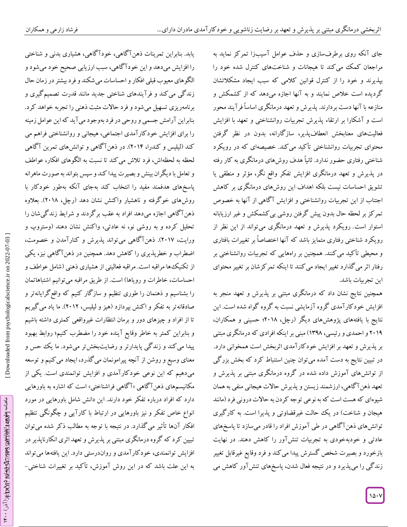یابد. بنابراین تمرینات ذهنآگاهی، خودآگاهی، هشیاری بدنی و شناختی را افزایش میدهد و این خودآگاهی، سبب ارزیابی صحیح خود میشودو الگوهای معیوب قبلی افکار و احساسات می شکند و فرد بیشتر در زمان حال زندگی میکند و فرآیندهای شناختی جدید مانند قدرت تصمیمگیری و برنامهریزی تسهیل میشود و فرد حاالت مثبت ذهنی را تجربه خواهد کرد. بنابراین آرامش جسمی و روحی در فرد بهوجود میآید که این عوامل زمینه را برای افزایش خودکارآمدی اجتماعی، هیجانی و روانشناختی فراهم می کند )لیلیس و کندرا، 2679(. در ذهنآگاهی و توانشهای تمرین آگاهی لحظه به لحظهاش، فرد تالش میکند تا نسبت به الگوهای افکار، عواطف و تعامل با دیگران بینش و بصیرت پیدا کند و سپس بتواند به صورت ماهرانه پاسخهای هدفمند مفید را انتخاب کند بهجای آنکه بهطور خودکار با روشهای خوگرفته و ناهشیار واکنش نشان دهد )رچل، 2679(. بعالوه ذهنآگاهی اجازه میدهد افراد به عقب برگردند و شرایط زندگیشان را تحلیل کرده و به روشی نو، نه عادتی، واکنش نشان دهند )وستروپ و ورایت، 2671(. ذهنآگاهی میتواند پذیرش و کنارآمدن و خصومت، اضطراب و خطرپذیری را کاهش دهد. همچنین در ذهنآگاهی نیز، یکی از تکنیکها مراقبه است. مراقبه فعالیتی از هشیاری ذهنی )شامل عواطف و احساسات، خاطرات و رویاها) است. از طریق مراقبه می توانیم اشتباهاتمان را بشناسیم و ذهنمان را طوری تنظیم و سازگار کنیم که واقعگرایانهتر و صادقانهتر به تفکر و اکنش بپردازد )هیز و لیلیس، 2672(. ما یاد میگیریم تا از افراد و چیزهای دور و برمان انتظارات غیرواقعی کمتری داشته باشیم و بنابراین کمتر به خاطر وقایع آینده خود را مضطرب کنیم؛ روابط بهبود پیدا میکند و زندگی پایدارتر و رضایتبخشتر میشود. ما یک حس و معنای وسیع و روشن از آنچه پیرامونمان میگذرد، ایجاد میکنیم و توسعه میدهیم که این نوعی خودکارآمدی و افزایش توانمندی است. یکی از مکانیسمهای دهن۱ کاهی «ا کاهی فراشناختی» است که اشاره به باورهایی دارد که افراد درباره تفکر خود دارند. این دانش شامل باورهایی در مورد انواع خاص تفکر و نیز باورهایی در ارتباط با کارآیی و چگونگی تنظیم افکار آنها تأثیر میگذارد. در نتیجه با توجه به مطالب ذکر شده میتوان تبیین کرد که گروه درمانگری مبتنی بر پذیرش و تعهد اثری انکارناپذیر در افزایش توانمندی، خودکارآمدی و رواندرستی دارد. این یافتهها میتواند<br>به این علت باشد که در این روش آموزش، تأکید بر تغییرات شناختی–

جای آنکه روی برطرفسازی و حدف عوامل اسیبزا تمرکز نماید به مراجعان کمک می کند تا هیجانات و شناختهای کنترل شده خود را خود را از کنترل قوانین کالمی که سبب ایجاد مشکالتشان بپذیرند و گردیده است خالص نمایند و به آنها اجازه میدهد که از کشمکش و منازعه با آنها دست بردارند. پذیرش و تعهد درمانگری اساساً فرآیند محور است و آشکارا بر ارتقاء پدیرش تجربیات روانشناختی و تعهد با افزایش فعالیتهای معنابخش انعطافپذیر، سازگارانه، بدون در نظر گرفتن محتوای تجربیات روانشناختی تأکید میکند. خصیصهای که در رویکرد شناختی رفتاری حضور ندارد. ثانیاً هدف روشهای درمانگری به کار رفته در پدیرش و تعهد درمانگری افزایش تفکر واقع نگر، مؤثر و منطقی یا تشویق احساسات نیست بلکه اهداف این روشهای درمانگری بر کاهش اجتناب از این تجربیات روانشناختی و افزایش ا کاهی از آنها به خصوص تمر کز بر لحظه حال بدون پیش کرفتن روشی بی کشمکش و غیر ارزیابانه استوار است. رویکرد پذیرش و تعهد درمانگری میتواند از این نظر از رویکرد شناختی رفتاری متمایز باشد که آنها اختصاصاً بر تغییرات بافتاری محیطی تأکید میکنند. همچنین بر راههایی که تجربیات روانشناختی بر و رفتار اثر میگذارد تغییر ایجاد می کنند تا اینکه تمرکزشان بر تغییر محتوای این تجربیات باشد.

همچنین نتایج نشان داد که درمانگری مبتنی بر پذیرش و تعهد منجر به افزایش خودکارآمدی گروه آزمایشی نسبت به گروه گواه شده است. این نتایج با یافتههای پژوهشهای دیگر (رچل، ۲۰۱۸؛ حسینی و همکاران، 2674 و احمدی و رئیسی، 7049( مبنی بر اینکه افرادی که درمانگری مبتنی بر پذیرش و تعهد بر افزایش خودکارآمدی اثربخش است همخوانی دارد. در تبیین نتایج به دست آمده میتوان چنین استنباط کرد که بخش بزرگی از توانشهای آموزش داده شده در گروه درمانگری مبتنی بر پذیرش و تعهد ذهنآگاهی، ارزشمند زیستن و پذیرش حاالت هیجانی منفی به همان شیوهای که هست است که به نوعی توجه کردن به حاالت درونی فرد )مانند هیجان و شناخت) در یک حالت غیرقضاوتی و پذیرا است. به کارگیری توانشهای ذهنآگاهی در طی آموزش افراد را قادر میسازد تا پاسخهای عادتی و خودبهخودی به تجربیات تنشآور را کاهش دهند. در نهایت بازخورد و بصیرت شخص گسترش پیدا میکند و فرد وقایع غیرقابل تغییر زندگی را میپذیرد و در نتیجه فعال شدن، پاسخهای تنشآور کاهش می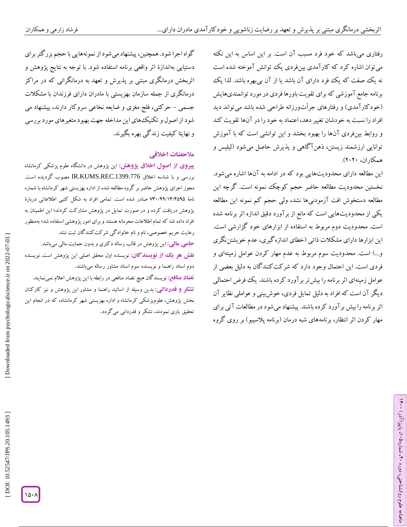رفتاری میباشد که خود فرد مسبب آن است. بر این اساس به این نکته میتوان اشاره کرد که کارآمدی بینفردی یک توانش آموخته شده است نه یک صفت که یک فود دارای آن باشد یا از آن بیبهره باشد. لذا یک یش برنامه جامع آموزشی که برای تقویت باورها فردی در مورد توانمندیها (خود کار آمدی) و رفتارهای جراتورزانه طراحی شده باشد می تواند دید افراد را نسبت به خودشان تغییر دهد، اعتماد به خود را در آنها تقویت کند و روابط بینفردی آنها را بهبود بخشد و این توانشی است که با آموزش توانایی ارزشمند زیستن، ذهنآگاهی و پذیرش حاصل میشود )لیلیس و همکاران، ۲۰۲۰).

این مطالعه دارای محدودیتهایی بود که در ادامه به آنها اشاره میشود. نخستین محدودیت مطالعه حاضر حجم کوچک نمونه است. گرچه این مطالعه دستخوش افت آزمودنیها نشد، ولی حجم کم نمونه این مطالعه یکی از محدودیتهایی است که مانع از برآورد دقیق اندازه اثر برنامه شده است. محدودیت دوم مربوط به استفاده از ابزارهای خود گزارشی است. این ابزارها دارای مشکلات ذاتی (خطای اندازه کیری، عدم خویشتننگری و…) است. محدودیت سوم مربوط به عدم مهار کردن عوامل زمینهای و فردی است. این احتمال وجود دارد که شرکتکنندگان به دلیل بعضی از عوامل زمینهای اثر برنامه را بیشتر برآورد کرده باشند. یک فرض احتمالی دیگر آن است که افراد به دلیل تمایل فردی، خوشبینی و عواملی نظایر آن اثر برنامه را بیش برآورد کرده باشند. پیشنهاد میشود در مطالعات آتی برای مهار کردن اثر انتظار، برنامههای شبه درمان (برنامه پلاسیبو) بر روی گروه

گواه اجرا شود. همچنین، پیشنهاد میشود از نمونههایی با حجم بزرگتر برای دستیابی بهاندازۀ اثر واقعی برنامه استفاده شود. با توجه به نتایج پژوهش و اثربخش درمانگری مبتنی بر پذیرش و تعهد به درمانگرانی که در مراکز درمانگری از جمله سازمان بهزیستی با مادران دارای فرزندان با مشکالت جسمی – حرکتی، فلج مغزی و ضایعه نخاعی سروکار دارند، پیشنهاد می شود از اصول و تکنیکهای این مداخله جهت بهبودمتغیرهای مورد بررسی و نهایتا کیفیت زندگی بهره بگیرند.<br>هلا**حضات اخ**لاقی<sub>ه</sub>

این پژوهش در دانشگاه علوم پزشکی کرمانشاه **از اصول اخالق پژوهش: پيروی** بررسی و با شناسه اخلاق IR.KUMS.REC.1399.776 مصوب گردیده است. مجوز اجرای پژوهش حاضر بر گروه مطالعه شده از اداره بهزیستی شهر کرمانشاه با شماره نامهٔ ۷۳۰/۹۹/۱۴/۴۵۹۵ صادر شده است. تمامی افراد به شکل کتبی اطلاعاتی دربارهٔ پژوهش دریافت کرده و در صورت تمایل در پژوهش مشارکت کردند؛ این اطمینان به افراد داده شد که تمام اطالعات محرمانه هستند و برای امور پژوهشی استفاده شد؛ بهمنظور

رعایت حریم خصوصی، نام و نام خانوادگی شرکت کنندگان ثبت نشد.<br>**حامی مالی:** این پژوهش در قالب رساله دکتری و بدون حمایت مالی میباشد. <mark>نقش هو یک از نویسندگان:</mark> نویسنده اول محقق اصلی این پژوهش است. نویسنده دوم استاد راهنما و نویسنده سوم استاد مشاور رساله میباشند.

**تضاد منافع:** نویسندگان هیچ تضاد منافعی در رابطه با این پژوهش اعالم نمینمایند. دوم استاد راهنما <sup>و</sup> **تشکر و قدردانی:** بدین وسیله از اساتید راهنما و مشاور این پژوهش و نیز کارکنان بخش پژوهش، علومپزشکی کرمانشاه و اداره بهزیستی شهر کرمانشاه، که در انجام این<br>تحقیق یاری نمودند، تشکر و قدردانی میگردد.

Downloaded from psychologicalscience.ir on 2022-07-03

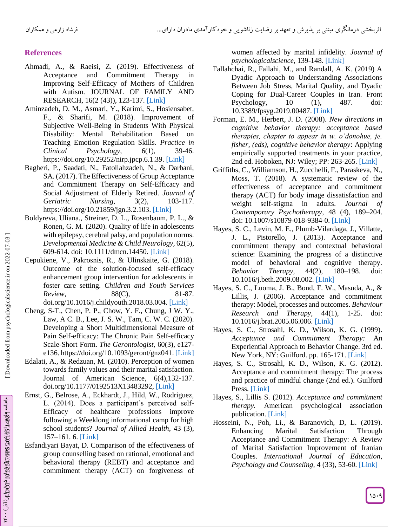## **References**

- Ahmadi, A., & Raeisi, Z. (2019). Effectiveness of Acceptance and Commitment Therapy in Improving Self-Efficacy of Mothers of Children with Autism. JOURNAL OF FAMILY AND RESEARCH, 16(2 (43) ), 123 -137. [\[Link\]](https://www.sid.ir/en/journal/ViewPaper.aspx?id=741015)
- Aminzadeh, D. M., Asmari, Y., Karimi, S., Hosiensabet, F., & Sharifi, M. (2018). Improvement of Subjective Well -Being in Students With Physical Disability: Mental Rehabilitation Based on Teaching Emotion Regulation Skills. *Practice in Clinical Psychology*, 6(1), 39-46. https://doi.org/10.29252/nirp.jpcp.6.1.39. [\[Link\]](http://jpcp.uswr.ac.ir/article-1-488-en.html)
- Bagheri, P., Saadati, N., Fatollahzadeh, N., & Darbani, SA. (2017). The Effectiveness of Group Acceptance and Commitment Therapy on Self -Efficacy and Social Adjustment of Elderly Retired. *Journal of Geriatric Nursing*, 3(2), 103-117. [https://doi.org/10.21859/jgn.3.2.103.](https://doi.org/10.21859/jgn.3.2.103) [\[Link\]](https://jgn.medilam.ac.ir/browse.php?sid=1&a_id=209&slc_lang=en)
- Boldyreva, Uliana., Streiner, D. L., Rosenbaum, P. L., & Ronen, G. M. (2020). Quality of life in adolescents with epilepsy, cerebral palsy, and population norms. *Developmental Medicine & Child Neurology,* 62(5), 609-614. doi: 10.1111/dmcn.14450. [\[Link\]](http://jgn.medilam.ac.ir/article-1-209-en.html)
- Cepukiene, V., Pakrosnis, R., & Ulinskaite, G. (2018). Outcome of the solution -focused self-efficacy enhancement group intervention for adolescents in foster care setting. *Children and Youth Services Review,* 88(C), 81-87. [doi.org/10.1016/j.childyouth.2018.03.004.](https://doi.org/10.1016/j.childyouth.2018.03.004) [\[Link\]](https://ideas.repec.org/a/eee/cysrev/v88y2018icp81-87.html)
- Cheng, S -T., Chen, P. P., Chow, Y. F., Chung, J W. Y., Law, A C. B., Lee, J. S. W., Tam, C. W. C. (2020). Developing a Short Multidimensional Measure of Pain Self-efficacy: The Chronic Pain Self-efficacy Scale-Short Form. The Gerontologist, 60(3), e127e136[. https://doi.org/10.1093/geront/gnz041.](https://doi.org/10.1093/geront/gnz041) [\[Link\]](https://pubmed.ncbi.nlm.nih.gov/31112597/)
- Edalati, A., & Redzuan, M. (2010). Perception of women towards family values and their marital satisfaction. [Journal of American Science](https://www.researchgate.net/journal/Journal-of-American-Science-1545-1003), 6(4), 132-137. [doi.org/10.1177/0192513X13483292,](https://doi.org/10.1177%2F0192513X13483292) [\[Link\]](https://journals.sagepub.com/doi/abs/10.1177/0192513X13483292)
- Ernst, G., Belrose, A., Eckhardt, J., Hild, W., Rodriguez, L. (2014). Does a participant's perceived self-Efficacy of healthcare professions improve following a Weeklong informational camp for high school students? *Journal of Allied Health,* 43 (3), 157 –161. 6. [\[Link\]](https://europepmc.org/article/med/25194062)
- Esfandiyari Bayat, D. Comparison of the effectiveness of group counselling based on rational, emotional and behavioral therapy (REBT) and acceptance and commitment therapy (ACT) on forgiveness of

women affected by marital infidelity. *Journal of psychologicalscience*, 139 -148. [\[Link\]](https://psychologicalscience.ir/browse.php?a_id=1020&sid=1&slc_lang=en)

- Fallahchai, R., Fallahi, M., and Randall, A. K. (2019) A Dyadic Approach to Understanding Associations Between Job Stress, Marital Quality, and Dyadic Coping for Dual -Career Couples in Iran. Front Psychology, 10 (1), 487. doi: 10.3389/fpsyg.2019.00487. [\[Link\]](https://www.frontiersin.org/articles/10.3389/fpsyg.2019.00487/full)
- Forman, E. M., Herbert, J. D. (2008). *New directions in cognitive behavior therapy: acceptance based therapies, chapter to appear in w. o'donohue, je. fisher, (eds), cognitive behavior therapy*: Applying empirically supported treatments in your practice, 2nd ed. Hoboken, NJ: Wiley; PP: 263 -265. [\[Link\]](https://psycnet.apa.org/record/2009-02305-005)
- Griffiths, C., Williamson, H., Zucchelli, F., Paraskeva, N., Moss, T. (2018). A systematic review of the effectiveness of acceptance and commitment therapy (ACT) for body image dissatisfaction and weight self-stigma in adults. *Journal of Contemporary Psychotherapy*, 48 (4), 189 –204. doi: 10.1007/s10879-018-9384-0. [\[Link\]](https://link.springer.com/article/10.1007/s10879-018-9384-0)
- Hayes, S. C., Levin, M. E., Plumb -Vilardaga, J., Villatte, J. L., Pistorello, J. (2013). Acceptance and commitment therapy and contextual behavioral science: Examining the progress of a distinctive model of behavioral and cognitive therapy. *Behavior Therapy*, 44(2), –198. doi: 10.1016/j.beth.2009.08.002. [\[Link\]](https://www.sciencedirect.com/science/article/pii/S0005789411000669?casa_token=BC_6LiX2Pm4AAAAA:mjs2_wLJAFPgyZ3055S3BKLxT4cz_DyoPkqffBjoEkkesKmKVNkQFJ_yfb4FWmCqOiC08Z5m_A)
- Hayes, S. C., Luoma, J. B., Bond, F. W., Masuda, A., & Lillis, J. (2006). Acceptance and commitment therapy: Model, processes and outcomes. *Behaviour Research and Therapy*, 44(1), 1 -25. doi: 10.1016/j.brat.2005.06.006. [\[Link\]](https://pubmed.ncbi.nlm.nih.gov/16300724/)
- Hayes, S. C., Strosahl, K. D., Wilson, K. G. (1999). *Acceptance and Commitment Therapy:* An Experiential Approach to Behavior Change. 3rd ed. New York, NY: Guilford. pp. 165-171. [\[Link\]](http://www.who-sells-it.com/images/catalogs/4604/pdf_25111.pdf)
- Hayes, S. C., Strosahl, K. D., Wilson, K. G. (2012). Acceptance and commitment therapy: The process and practice of mindful change (2nd ed.). Guilford Press. [\[Link\]](https://psycnet.apa.org/record/2012-00755-000)
- Hayes, S., Lillis S. (2012). *Acceptance and commitment therapy.* American psychological association publication. [\[Link\]](https://psycnet.apa.org/doiLanding?doi=10.1037/a0026070)
- Hosseini, N., Poh, Li., & Baranovich, D, L. (2019). Enhancing Marital Satisfaction Through Acceptance and Commitment Therapy: A Review of Marital Satisfaction Improvement of Iranian Couples. *International Journal of Education*, *Psychology and Counseling,* 4 (33), 53 -60. [\[Link\]](https://www.academia.edu/44915993/Enhancing_Marital_Satisfaction_Through_Acceptance_and_Commitment_Therapy_A_Review_of_Marital_Satisfaction_Improvement_of_Iranian_Couples)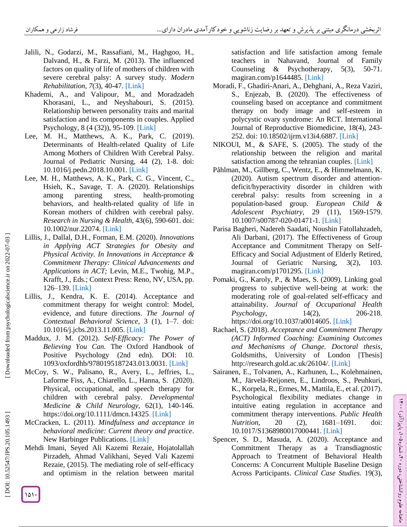- Jalili, N., Godarzi, M., Rassafiani, M., Haghgoo, H., Dalvand, H., & Farzi, M. (2013). The influenced factors on quality of life of mothers of children with severe cerebral palsy: A survey study. *Modern Rehabilitation, 7*(3), 40 -47[.](https://www.sid.ir/en/journal/ViewPaper.aspx?ID=318304) [\[Link\]](https://www.sid.ir/en/journal/ViewPaper.aspx?ID=318304)
- Khademi, A., and Valipour, M., and Moradzadeh Khorasani, L., and Neyshabouri, S. (2015). Relationship between personality traits and marital satisfaction and its components in couples. Applied Psychology, 8 (4 (32)), 95-109. [\[Link\]](https://www.sid.ir/fa/Journal/ViewPaper.aspx?id=493212)
- Lee, M. H., Matthews, A. K., Park, C. (2019). Determinants of Health -related Quality of Life Among Mothers of Children With Cerebral Palsy. [Journal of Pediatric Nursing,](https://www.journals.elsevier.com/journal-of-pediatric-nursing/) 44 (2), 1 -8. doi: 10.1016/j.pedn.2018.10.001. [\[Link\]](https://pubmed.ncbi.nlm.nih.gov/30683274/)
- Lee, M. H., Matthews, A. K., Park, C. G., Vincent, C., Hsieh, K., Savage, T. A. (2020). Relationships among parenting stress, health-promoting behaviors, and health -related quality of life in Korean mothers of children with cerebral palsy. *Research in Nursing & Health,* 43(6), 590 -601. doi: 10.1002/nur.22074. [\[Link\]](https://pubmed.ncbi.nlm.nih.gov/32990995/)
- Lillis, J., Dallal, D.H., Forman, E.M. (2020). *Innovations in Applying ACT Strategies for Obesity and Physical Activity. In Innovations in Acceptance & Commitment Therapy: Clinical Advancements and Applications in ACT;* Levin, M.E., Twohig, M.P., Krafft, J., Eds.; Context Press: Reno, NV, USA, pp. 126 –139. [\[Link\]](https://www.ncbi.nlm.nih.gov/pmc/articles/PMC8122354/)
- Lillis, J., Kendra, K. E. (2014). Acceptance and commitment therapy for weight control: Model, evidence, and future directions. *The Journal of Contextual Behavioral Science,* 3 (1), 1 –7. doi: 10.1016/j.jcbs.2013.11.005. [\[Link\]](https://www.ncbi.nlm.nih.gov/pmc/articles/PMC4238039/)
- [Maddux,](https://www.researchgate.net/profile/James-Maddux) J. M. (2012). *Self-Efficacy: The Power of Believing You Can.* [The Oxford Handbook of](https://www.oxfordhandbooks.com/view/10.1093/oxfordhb/9780195187243.001.0001/oxfordhb-9780195187243)  [Positive Psychology \(2nd edn\).](https://www.oxfordhandbooks.com/view/10.1093/oxfordhb/9780195187243.001.0001/oxfordhb-9780195187243) DOI: 10. 1093/oxfordhb/9780195187243.013.0031. [\[Link](https://www.oxfordhandbooks.com/view/10.1093/oxfordhb/9780195187243.001.0001/oxfordhb-9780195187243-e-031?result=5&rskey=676wfe) ]
- McCoy, S. W., Palisano, R., Avery, L., Jeffries, L., Laforme Fiss, A., Chiarello, L., Hanna, S. (2020). Physical, occupational, and speech therapy for children with cerebral palsy. *Developmental Medicine & Child Neurology,* 62(1), 140 -146. https://doi.org/10.1111/dmcn.1432[5. \[Link\]](https://pubmed.ncbi.nlm.nih.gov/31353456/)
- McCracken, L. (2011). *Mindfulness and acceptance in behavioral medicine: Current theory and practice*. New Harbinger Publications. [\[Link\]](https://books.google.com/books?hl=en&lr=&id=NcP37_rcW5kC&oi=fnd&pg=PR3&dq=McCracken,+L.+\(2011\).+Mindfulness+and+acceptance+in+behavioral+medicine++Current+theory+and+practice.+New+Harbinger+Publications&ots=vr3DQdx0YY&sig=tr1sRRiJ9xp9osJaFKViuKOj8X4#v=onepage&q=McCracken%2C%20L.%20\(2011\).%20Mindfulness%20and%20acceptance%20in%20behavioral%20medicine%20%20Current%20theory%20and%20practice.%20New%20Harbinger%20Publications&f=false)
- Mehdi Imani, Seyed Ali Kazemi Rezaie, Hojatolallah Pirzadeh, Ahmad Valikhani, Seyed Vali Kazemi Rezaie, (2015). The mediating role of self -efficacy and optimism in the relation between marital

satisfaction and life satisfaction among female teachers in Nahavand, Journal of Family Counseling  $\&$  Psychotherapy, 5(3), 50-71. magiran.com/p1644485[. \[Link\]](https://www.magiran.com/paper/1644485?lang=en)

- Moradi, F., Ghadiri -Anari, A., Dehghani, A., Reza Vaziri, S., Enjezab, B. (2020). The effectiveness of counseling based on acceptance and commitment therapy on body image and self -esteem in polycystic ovary syndrome: An RCT. [International](https://www.ncbi.nlm.nih.gov/pmc/journals/2984/)  [Journal of Reproductive Biomedicine,](https://www.ncbi.nlm.nih.gov/pmc/journals/2984/) 18(4), 243 - 252. doi: 10.18502/ijrm.v13i4.6887. [\[Link\]](http://journals.ssu.ac.ir/ijrmnew/article-1-1480-en.html)
- NIKOUI, M., & SAFE, S. (2005). The study of the relationship between the religion and marital satisfaction among the tehranian couples. [\[Link\]](https://scholar.google.com/scholar_url?url=https://www.sid.ir/en/journal/ViewPaper.aspx%3FID%3D39535&hl=en&sa=T&oi=gsb&ct=res&cd=0&d=4781603133338217051&ei=Or80YcCAMZKAmwGBhITgDw&scisig=AAGBfm2G6lUyKCYOHokJXUfVNCOX_-fE6Q)
- Påhlman, M., Gillberg, C., Wentz, E., & Himmelmann, K. (2020). Autism spectrum disorder and attention deficit/hyperactivity disorder in children with cerebral palsy: results from screening in a population -based group. *European Child & Adolescent Psychiatry*, 29 (11), 1569 -1579. 10.1007/s00787 -020 -01471 -1. [\[Link\]](https://pubmed.ncbi.nlm.nih.gov/31927764/)
- Parisa Bagheri, Nadereh Saadati, Noushin Fatollahzadeh, Ali Darbani, (2017). The Effectiveness of Group Acceptance and Commitment Therapy on Self - Efficacy and Social Adjustment of Elderly Retired, Journal of Geriatric Nursing, 3(2), 103. magiran.com/p1701295[. \[Link\]](https://www.magiran.com/paper/1701295?lang=en)
- Pomaki, G., Karoly, P., & Maes, S. (2009). Linking goal progress to subjective well -being at work: the moderating role of goal -related self-efficacy and attainability. *Journal of Occupational Health Psychology,* 14(2), 206-218. [https://doi.org/10.1037/a0014605.](https://doi.org/10.1037/a0014605) [\[Link\]](https://psycnet.apa.org/doiLanding?doi=10.1037%2Fa0014605)
- Rachael, S. (2018). *Acceptance and Commitment Therapy (ACT) Informed Coaching: Examining Outcomes and Mechanisms of Change. Doctoral thesis*, Goldsmiths, University of London [Thesis] [http://research.gold.ac.uk/26104/.](http://research.gold.ac.uk/26104/) [\[Link\]](https://research.gold.ac.uk/26104/1/IMS_thesis_SkewsR_2018.pdf)
- Sairanen, E., Tolvanen, A., Karhunen, L., Kolehmainen, M., Järvelä -Reijonen, E., Lindroos, S., Peuhkuri, K., Korpela, R., Ermes, M., Mattila, E., et al. (2017). Psychological flexibility mediates change in intuitive eating regulation in acceptance and commitment therapy interventions. *Public Health Nutrition*, 20 (2), –1691. doi: 10.1017/S1368980017000441. [\[Link\]](https://scholar.google.com/scholar_url?url=https://www.cambridge.org/core/journals/public-health-nutrition/article/psychological-flexibility-mediates-change-in-intuitive-eating-regulation-in-acceptance-and-commitment-therapy-interventions/E4A774395B98238FEC2F3B417B11A5F1&hl=en&sa=T&oi=gsb&ct=res&cd=0&d=13125046148974873451&ei=p372YNaAAemCy9YPwu2X0Ak&scisig=AAGBfm30TqtweeBh9LSNJjT_eDhgdK-KlA)

ラ・

، پاییز)آذر( 769

، شماره 26

ماهنامه علوم روانشناختی، دوره

Spencer, S. D., Masuda, A. (2020). Acceptance and Commitment Therapy as a Transdiagnostic Approach to Treatment of Behavioral Health Concerns: A Concurrent Multiple Baseline Design Across Participants. *Clinical Case Studies.* 19(3),